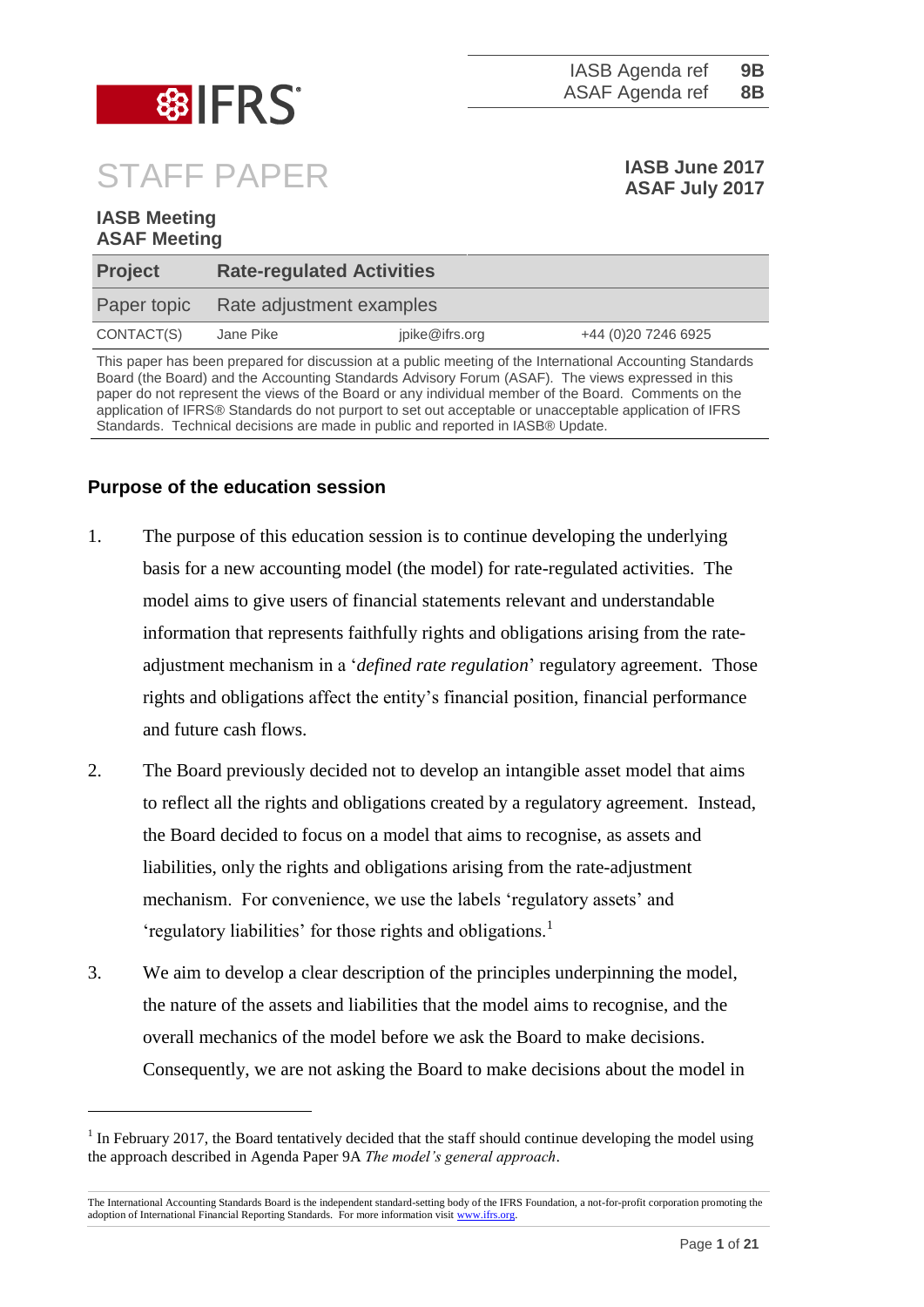

# STAFF PAPER **IASB June 2017**

**IASB Meeting ASAF Meeting**

1

**ASAF July 2017**

| <b>Project</b>                                                                                            |           | <b>Rate-regulated Activities</b> |                      |  |  |  |
|-----------------------------------------------------------------------------------------------------------|-----------|----------------------------------|----------------------|--|--|--|
| Paper topic                                                                                               |           | Rate adjustment examples         |                      |  |  |  |
| CONTACT(S)                                                                                                | Jane Pike | jpike@ifrs.org                   | +44 (0) 20 7246 6925 |  |  |  |
| This paper has been prepared for discussion at a public meeting of the International Accounting Standards |           |                                  |                      |  |  |  |

Board (the Board) and the Accounting Standards Advisory Forum (ASAF). The views expressed in this paper do not represent the views of the Board or any individual member of the Board. Comments on the application of IFRS® Standards do not purport to set out acceptable or unacceptable application of IFRS Standards. Technical decisions are made in public and reported in IASB® Update.

## **Purpose of the education session**

- 1. The purpose of this education session is to continue developing the underlying basis for a new accounting model (the model) for rate-regulated activities. The model aims to give users of financial statements relevant and understandable information that represents faithfully rights and obligations arising from the rateadjustment mechanism in a '*defined rate regulation*' regulatory agreement. Those rights and obligations affect the entity's financial position, financial performance and future cash flows.
- 2. The Board previously decided not to develop an intangible asset model that aims to reflect all the rights and obligations created by a regulatory agreement. Instead, the Board decided to focus on a model that aims to recognise, as assets and liabilities, only the rights and obligations arising from the rate-adjustment mechanism. For convenience, we use the labels 'regulatory assets' and 'regulatory liabilities' for those rights and obligations.<sup>1</sup>
- 3. We aim to develop a clear description of the principles underpinning the model, the nature of the assets and liabilities that the model aims to recognise, and the overall mechanics of the model before we ask the Board to make decisions. Consequently, we are not asking the Board to make decisions about the model in

 $1$  In February 2017, the Board tentatively decided that the staff should continue developing the model using the approach described in Agenda Paper 9A *The model's general approach*.

The International Accounting Standards Board is the independent standard-setting body of the IFRS Foundation, a not-for-profit corporation promoting the adoption of International Financial Reporting Standards. For more information visi[t www.ifrs.org.](http://www.ifrs.org/)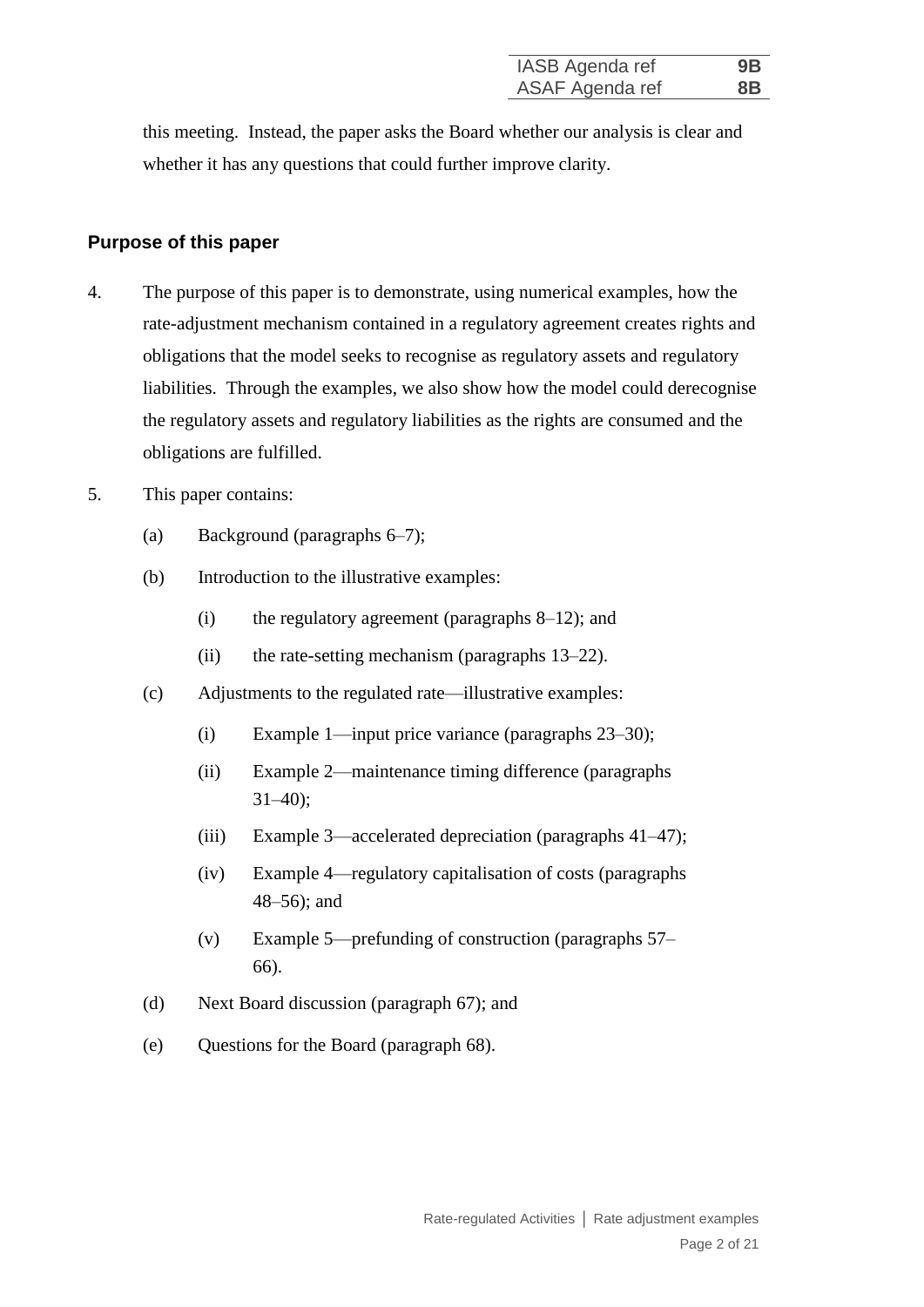this meeting. Instead, the paper asks the Board whether our analysis is clear and whether it has any questions that could further improve clarity.

#### **Purpose of this paper**

- 4. The purpose of this paper is to demonstrate, using numerical examples, how the rate-adjustment mechanism contained in a regulatory agreement creates rights and obligations that the model seeks to recognise as regulatory assets and regulatory liabilities. Through the examples, we also show how the model could derecognise the regulatory assets and regulatory liabilities as the rights are consumed and the obligations are fulfilled.
- 5. This paper contains:
	- (a) Background (paragraphs 6–7);
	- (b) Introduction to the illustrative examples:
		- (i) the regulatory agreement (paragraphs 8–12); and
		- (ii) the rate-setting mechanism (paragraphs 13–22).
	- (c) Adjustments to the regulated rate—illustrative examples:
		- (i) Example 1—input price variance (paragraphs 23–30);
		- (ii) Example 2—maintenance timing difference (paragraphs  $31-40$ ;
		- (iii) Example 3—accelerated depreciation (paragraphs 41–47);
		- (iv) Example 4—regulatory capitalisation of costs (paragraphs 48–56); and
		- (v) Example 5—prefunding of construction (paragraphs 57– 66).
	- (d) Next Board discussion (paragraph 67); and
	- (e) Questions for the Board (paragraph 68).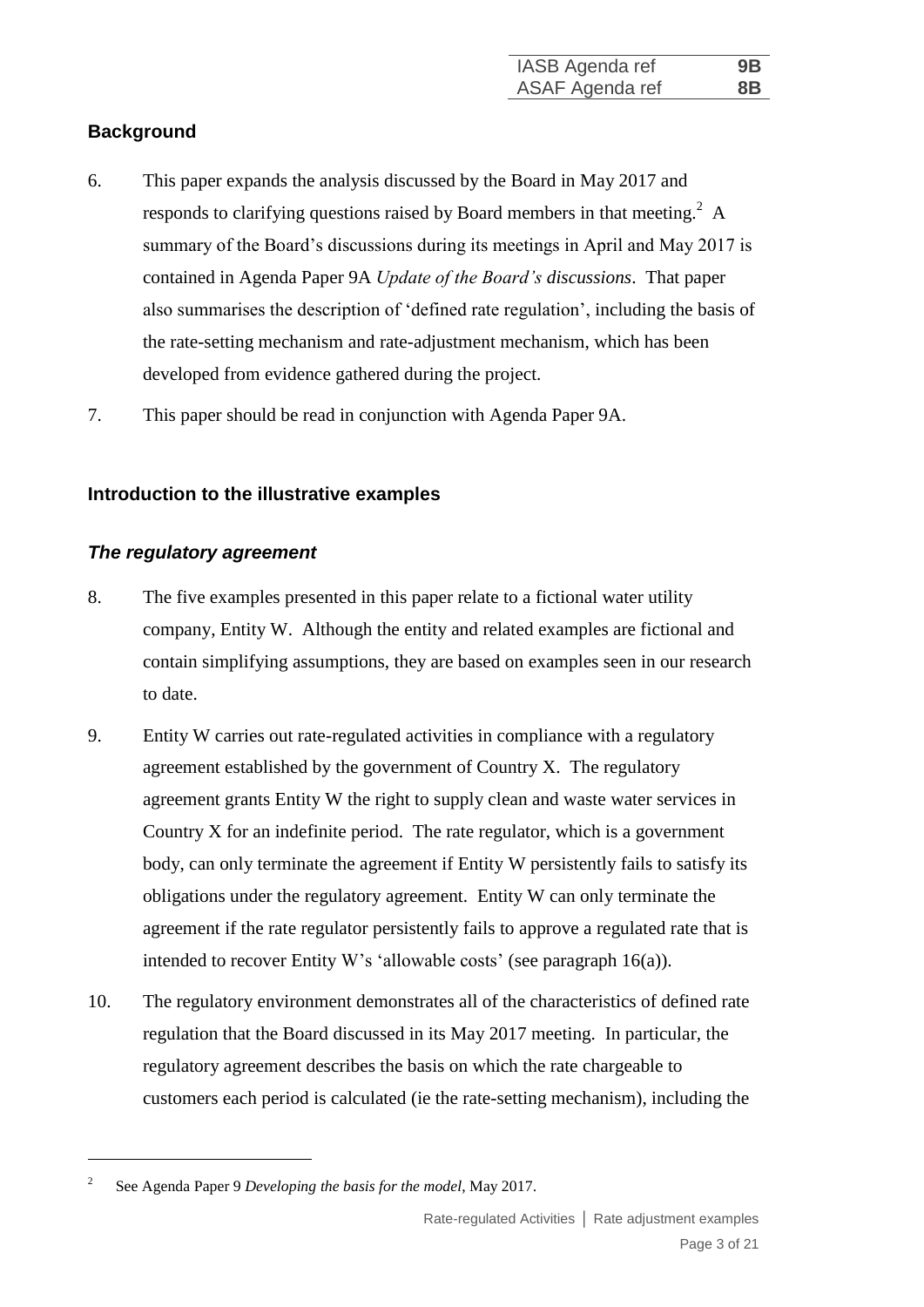## **Background**

- 6. This paper expands the analysis discussed by the Board in May 2017 and responds to clarifying questions raised by Board members in that meeting.<sup>2</sup> A summary of the Board's discussions during its meetings in April and May 2017 is contained in Agenda Paper 9A *Update of the Board's discussions*. That paper also summarises the description of 'defined rate regulation', including the basis of the rate-setting mechanism and rate-adjustment mechanism, which has been developed from evidence gathered during the project.
- 7. This paper should be read in conjunction with Agenda Paper 9A.

## **Introduction to the illustrative examples**

#### *The regulatory agreement*

- 8. The five examples presented in this paper relate to a fictional water utility company, Entity W. Although the entity and related examples are fictional and contain simplifying assumptions, they are based on examples seen in our research to date.
- 9. Entity W carries out rate-regulated activities in compliance with a regulatory agreement established by the government of Country X. The regulatory agreement grants Entity W the right to supply clean and waste water services in Country X for an indefinite period. The rate regulator, which is a government body, can only terminate the agreement if Entity W persistently fails to satisfy its obligations under the regulatory agreement. Entity W can only terminate the agreement if the rate regulator persistently fails to approve a regulated rate that is intended to recover Entity W's 'allowable costs' (see paragraph [16\(a\)\)](#page-4-0).
- 10. The regulatory environment demonstrates all of the characteristics of defined rate regulation that the Board discussed in its May 2017 meeting. In particular, the regulatory agreement describes the basis on which the rate chargeable to customers each period is calculated (ie the rate-setting mechanism), including the

1

<sup>2</sup> See Agenda Paper 9 *Developing the basis for the model*, May 2017.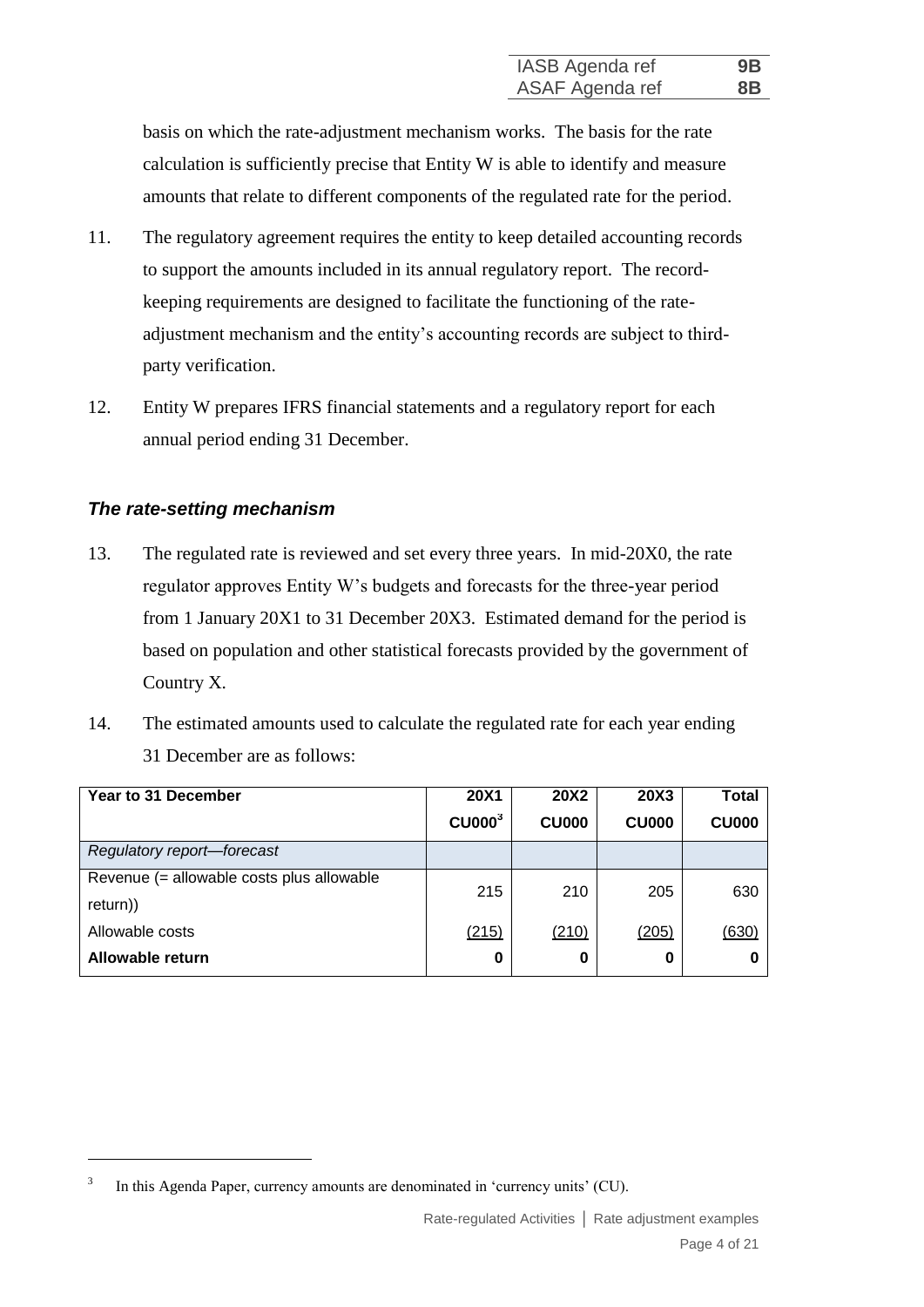basis on which the rate-adjustment mechanism works. The basis for the rate calculation is sufficiently precise that Entity W is able to identify and measure amounts that relate to different components of the regulated rate for the period.

- 11. The regulatory agreement requires the entity to keep detailed accounting records to support the amounts included in its annual regulatory report. The recordkeeping requirements are designed to facilitate the functioning of the rateadjustment mechanism and the entity's accounting records are subject to thirdparty verification.
- 12. Entity W prepares IFRS financial statements and a regulatory report for each annual period ending 31 December.

## *The rate-setting mechanism*

1

- 13. The regulated rate is reviewed and set every three years. In mid-20X0, the rate regulator approves Entity W's budgets and forecasts for the three-year period from 1 January 20X1 to 31 December 20X3. Estimated demand for the period is based on population and other statistical forecasts provided by the government of Country X.
- <span id="page-3-0"></span>14. The estimated amounts used to calculate the regulated rate for each year ending 31 December are as follows:

| Year to 31 December                       | <b>20X1</b>                    | <b>20X2</b>  | <b>20X3</b>  | <b>Total</b> |
|-------------------------------------------|--------------------------------|--------------|--------------|--------------|
|                                           | C <sub>U000</sub> <sup>3</sup> | <b>CU000</b> | <b>CU000</b> | <b>CU000</b> |
| Regulatory report-forecast                |                                |              |              |              |
| Revenue (= allowable costs plus allowable | 215                            | 210          | 205          | 630          |
| return))                                  |                                |              |              |              |
| Allowable costs                           | (215)                          | (210)        | (205)        | (630)        |
| Allowable return                          | 0                              | 0            | 0            |              |

<sup>3</sup> In this Agenda Paper, currency amounts are denominated in 'currency units' (CU).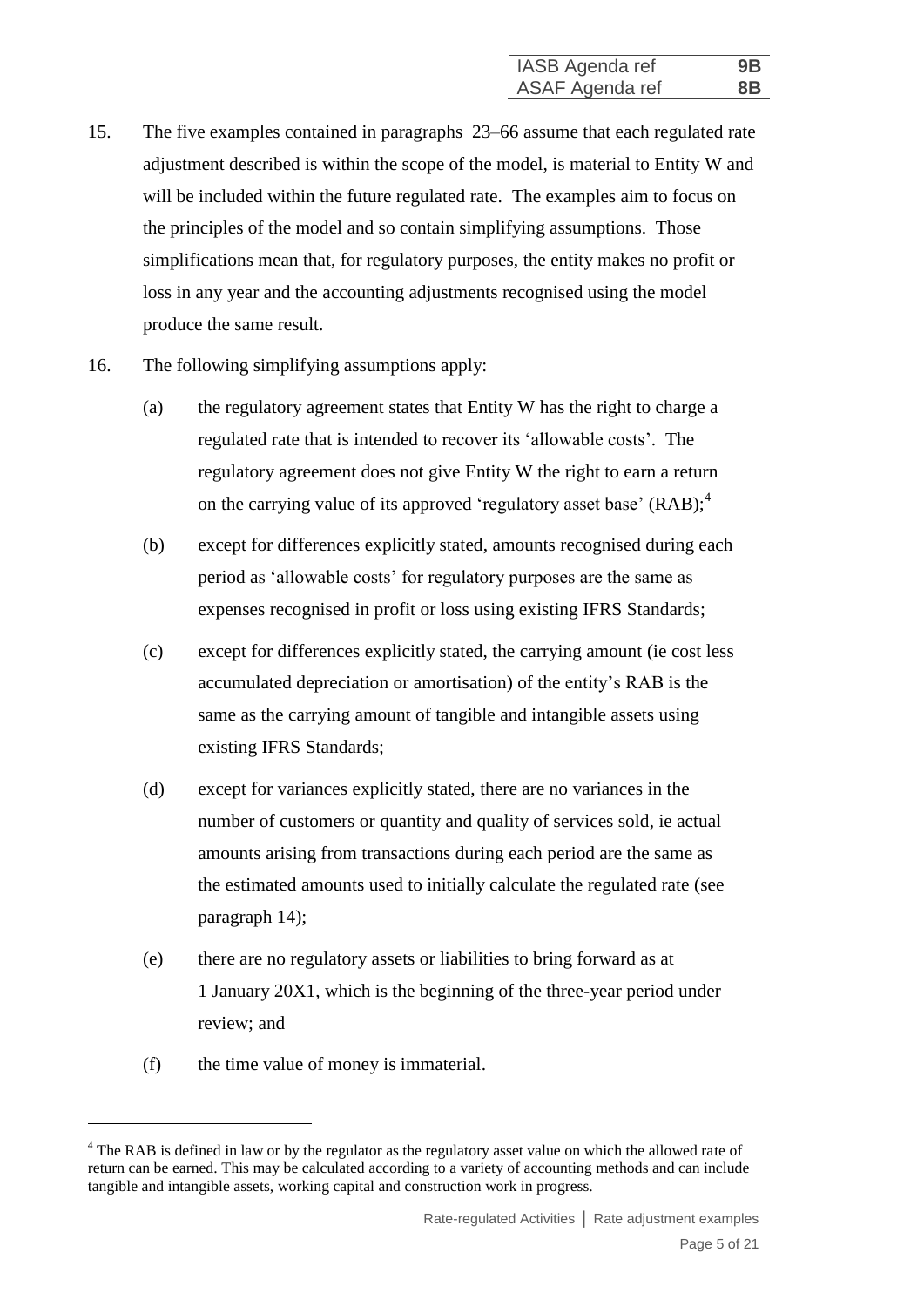- 15. The five examples contained in paragraphs 23–66 assume that each regulated rate adjustment described is within the scope of the model, is material to Entity W and will be included within the future regulated rate. The examples aim to focus on the principles of the model and so contain simplifying assumptions. Those simplifications mean that, for regulatory purposes, the entity makes no profit or loss in any year and the accounting adjustments recognised using the model produce the same result.
- <span id="page-4-0"></span>16. The following simplifying assumptions apply:
	- (a) the regulatory agreement states that Entity W has the right to charge a regulated rate that is intended to recover its 'allowable costs'. The regulatory agreement does not give Entity W the right to earn a return on the carrying value of its approved 'regulatory asset base'  $(RAB)$ ;<sup>4</sup>
	- (b) except for differences explicitly stated, amounts recognised during each period as 'allowable costs' for regulatory purposes are the same as expenses recognised in profit or loss using existing IFRS Standards;
	- (c) except for differences explicitly stated, the carrying amount (ie cost less accumulated depreciation or amortisation) of the entity's RAB is the same as the carrying amount of tangible and intangible assets using existing IFRS Standards;
	- (d) except for variances explicitly stated, there are no variances in the number of customers or quantity and quality of services sold, ie actual amounts arising from transactions during each period are the same as the estimated amounts used to initially calculate the regulated rate (see paragraph [14\)](#page-3-0);
	- (e) there are no regulatory assets or liabilities to bring forward as at 1 January 20X1, which is the beginning of the three-year period under review; and
	- (f) the time value of money is immaterial.

<u>.</u>

<sup>&</sup>lt;sup>4</sup> The RAB is defined in law or by the regulator as the regulatory asset value on which the allowed rate of return can be earned. This may be calculated according to a variety of accounting methods and can include tangible and intangible assets, working capital and construction work in progress.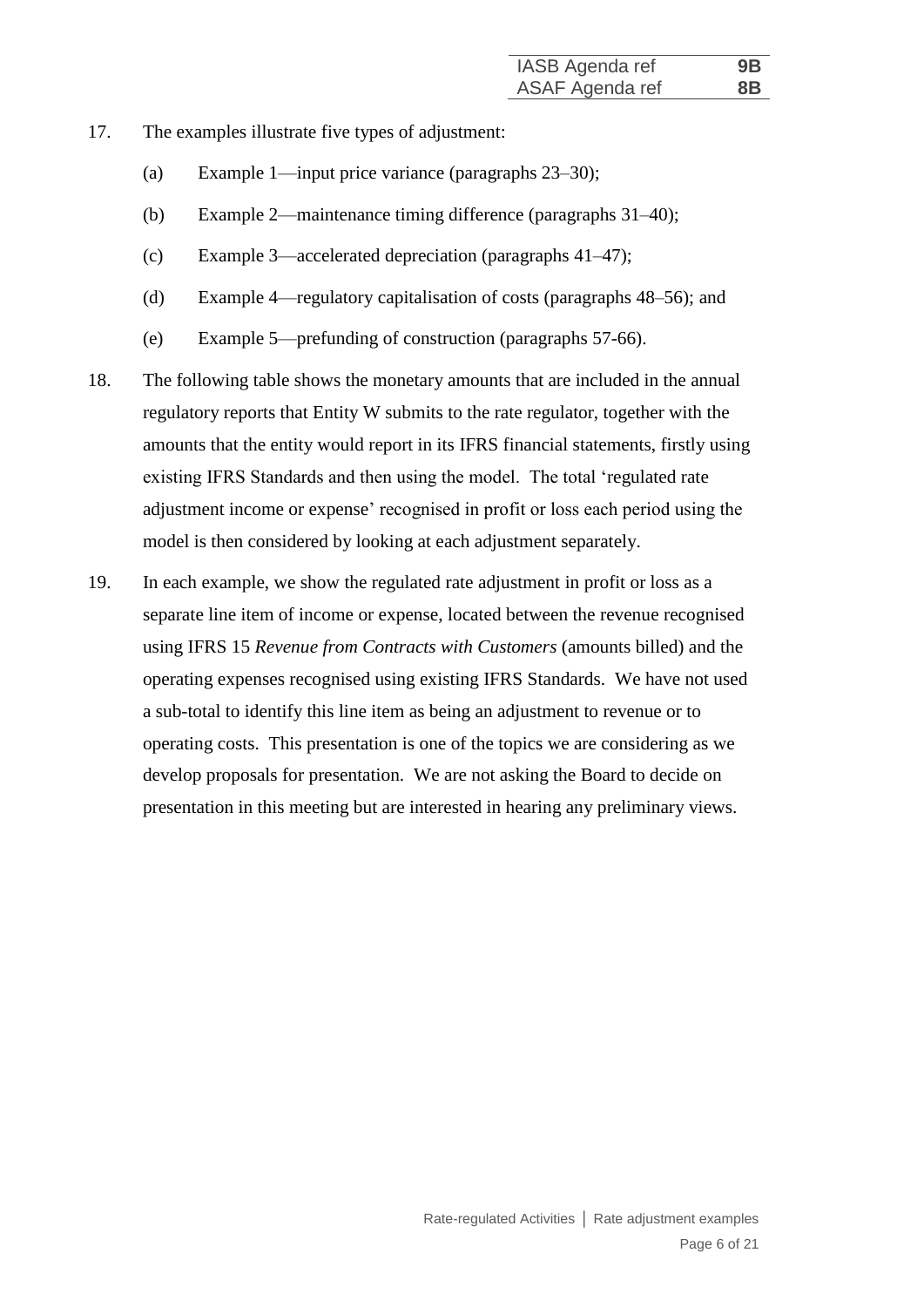- 17. The examples illustrate five types of adjustment:
	- (a) Example 1—input price variance (paragraphs 23–30);
	- (b) Example 2—maintenance timing difference (paragraphs 31–40);
	- (c) Example 3—accelerated depreciation (paragraphs 41–47);
	- (d) Example 4—regulatory capitalisation of costs (paragraphs 48–56); and
	- (e) Example 5—prefunding of construction (paragraphs 57-66).
- 18. The following table shows the monetary amounts that are included in the annual regulatory reports that Entity W submits to the rate regulator, together with the amounts that the entity would report in its IFRS financial statements, firstly using existing IFRS Standards and then using the model. The total 'regulated rate adjustment income or expense' recognised in profit or loss each period using the model is then considered by looking at each adjustment separately.
- 19. In each example, we show the regulated rate adjustment in profit or loss as a separate line item of income or expense, located between the revenue recognised using IFRS 15 *Revenue from Contracts with Customers* (amounts billed) and the operating expenses recognised using existing IFRS Standards. We have not used a sub-total to identify this line item as being an adjustment to revenue or to operating costs. This presentation is one of the topics we are considering as we develop proposals for presentation. We are not asking the Board to decide on presentation in this meeting but are interested in hearing any preliminary views.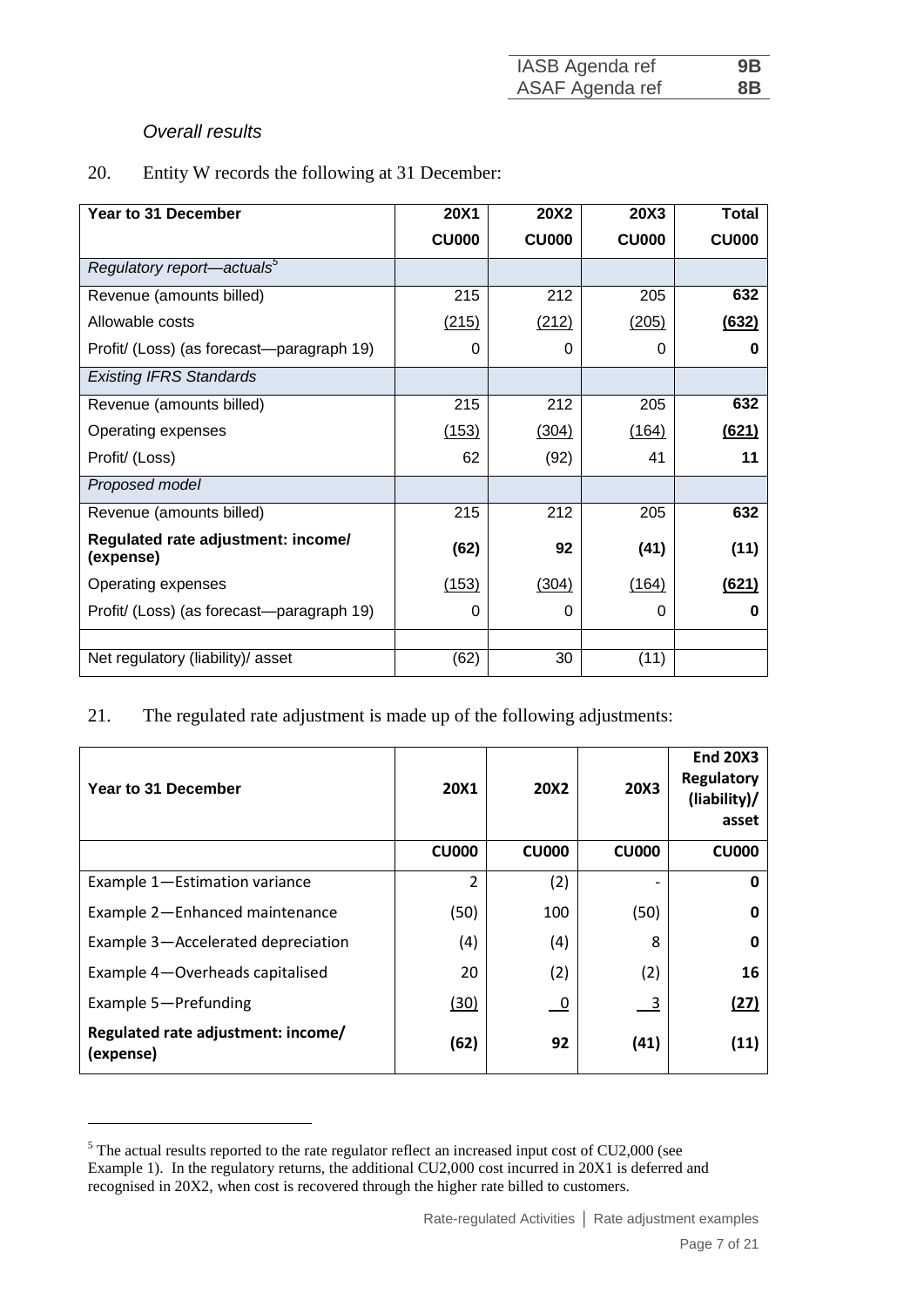| IASB Agenda ref | 9B             |
|-----------------|----------------|
| ASAF Agenda ref | 8 <sub>B</sub> |

## *Overall results*

<u>.</u>

20. Entity W records the following at 31 December:

| Year to 31 December                             | <b>20X1</b>  | <b>20X2</b>  | 20X3         | <b>Total</b> |
|-------------------------------------------------|--------------|--------------|--------------|--------------|
|                                                 | <b>CU000</b> | <b>CU000</b> | <b>CU000</b> | <b>CU000</b> |
| Regulatory report—actuals <sup>5</sup>          |              |              |              |              |
| Revenue (amounts billed)                        | 215          | 212          | 205          | 632          |
| Allowable costs                                 | (215)        | (212)        | (205)        | (632)        |
| Profit/ (Loss) (as forecast—paragraph 19)       | 0            | 0            | 0            | o            |
| <b>Existing IFRS Standards</b>                  |              |              |              |              |
| Revenue (amounts billed)                        | 215          | 212          | 205          | 632          |
| Operating expenses                              | (153)        | (304)        | (164)        | (621)        |
| Profit/ (Loss)                                  | 62           | (92)         | 41           | 11           |
| Proposed model                                  |              |              |              |              |
| Revenue (amounts billed)                        | 215          | 212          | 205          | 632          |
| Regulated rate adjustment: income/<br>(expense) | (62)         | 92           | (41)         | (11)         |
| Operating expenses                              | (153)        | (304)        | (164)        | (621)        |
| Profit/ (Loss) (as forecast—paragraph 19)       | 0            | 0            | 0            | O            |
|                                                 |              |              |              |              |
| Net regulatory (liability)/ asset               | (62)         | 30           | (11)         |              |

## 21. The regulated rate adjustment is made up of the following adjustments:

| Year to 31 December                             | <b>20X1</b>    | <b>20X2</b>       | <b>20X3</b>               | <b>End 20X3</b><br><b>Regulatory</b><br>(liability)/<br>asset |
|-------------------------------------------------|----------------|-------------------|---------------------------|---------------------------------------------------------------|
|                                                 | <b>CU000</b>   | CU <sub>000</sub> | <b>CU000</b>              | <b>CU000</b>                                                  |
| Example 1-Estimation variance                   | $\overline{2}$ | (2)               |                           | 0                                                             |
| Example 2-Enhanced maintenance                  | (50)           | 100               | (50)                      | 0                                                             |
| Example 3-Accelerated depreciation              | (4)            | (4)               | 8                         | 0                                                             |
| Example 4-Overheads capitalised                 | 20             | (2)               | (2)                       | 16                                                            |
| Example 5-Prefunding                            | <u>(30)</u>    | 0                 | $\overline{\phantom{0}3}$ | (27)                                                          |
| Regulated rate adjustment: income/<br>(expense) | (62)           | 92                | (41)                      | (11)                                                          |

 $5$  The actual results reported to the rate regulator reflect an increased input cost of CU2,000 (see Example 1). In the regulatory returns, the additional CU2,000 cost incurred in 20X1 is deferred and recognised in 20X2, when cost is recovered through the higher rate billed to customers.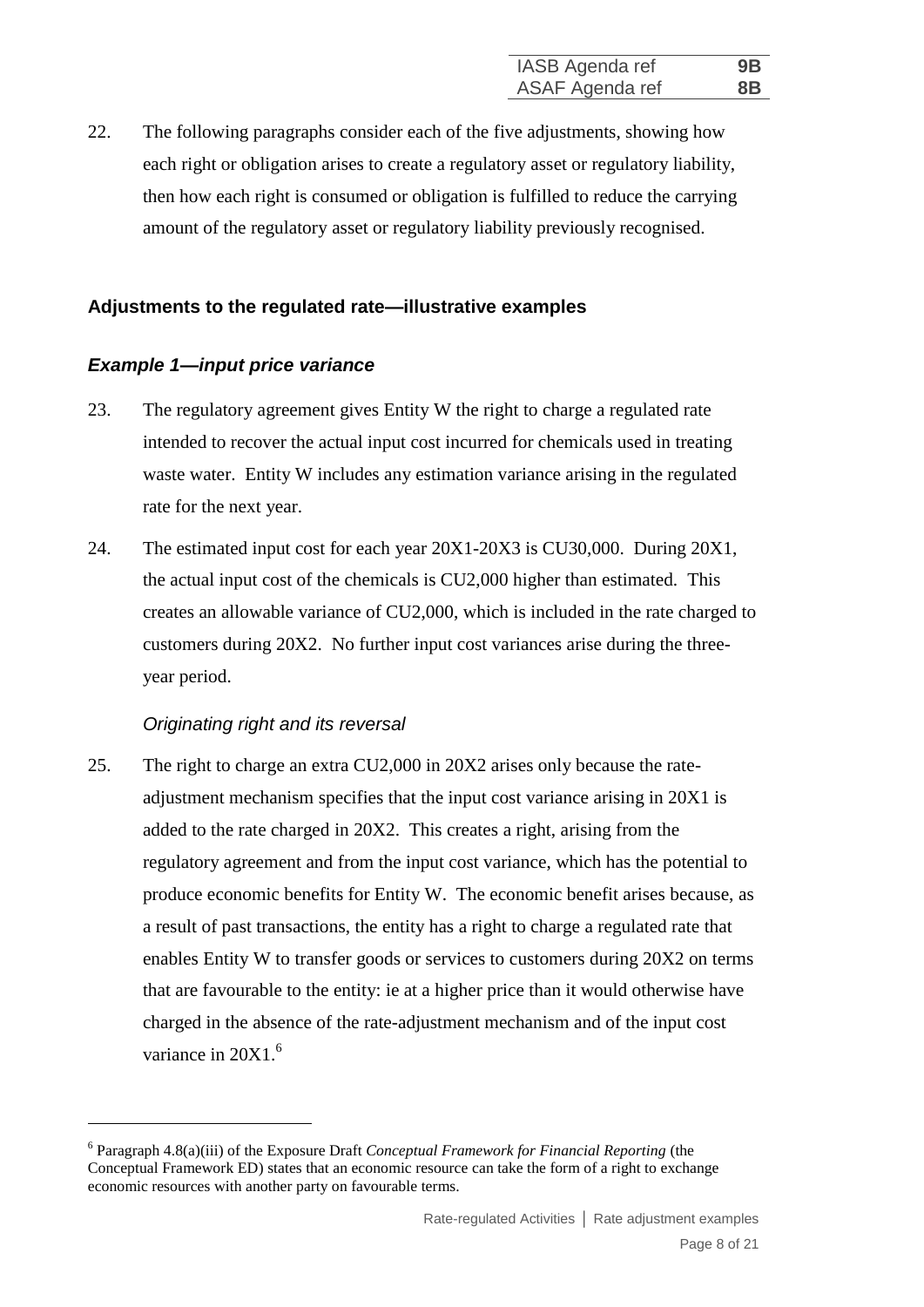22. The following paragraphs consider each of the five adjustments, showing how each right or obligation arises to create a regulatory asset or regulatory liability, then how each right is consumed or obligation is fulfilled to reduce the carrying amount of the regulatory asset or regulatory liability previously recognised.

## **Adjustments to the regulated rate—illustrative examples**

## *Example 1—input price variance*

- 23. The regulatory agreement gives Entity W the right to charge a regulated rate intended to recover the actual input cost incurred for chemicals used in treating waste water. Entity W includes any estimation variance arising in the regulated rate for the next year.
- 24. The estimated input cost for each year 20X1-20X3 is CU30,000. During 20X1, the actual input cost of the chemicals is CU2,000 higher than estimated. This creates an allowable variance of CU2,000, which is included in the rate charged to customers during 20X2. No further input cost variances arise during the threeyear period.

## *Originating right and its reversal*

<u>.</u>

25. The right to charge an extra CU2,000 in 20X2 arises only because the rateadjustment mechanism specifies that the input cost variance arising in 20X1 is added to the rate charged in 20X2. This creates a right, arising from the regulatory agreement and from the input cost variance, which has the potential to produce economic benefits for Entity W. The economic benefit arises because, as a result of past transactions, the entity has a right to charge a regulated rate that enables Entity W to transfer goods or services to customers during 20X2 on terms that are favourable to the entity: ie at a higher price than it would otherwise have charged in the absence of the rate-adjustment mechanism and of the input cost variance in 20X1.<sup>6</sup>

<sup>6</sup> Paragraph 4.8(a)(iii) of the Exposure Draft *Conceptual Framework for Financial Reporting* (the Conceptual Framework ED) states that an economic resource can take the form of a right to exchange economic resources with another party on favourable terms.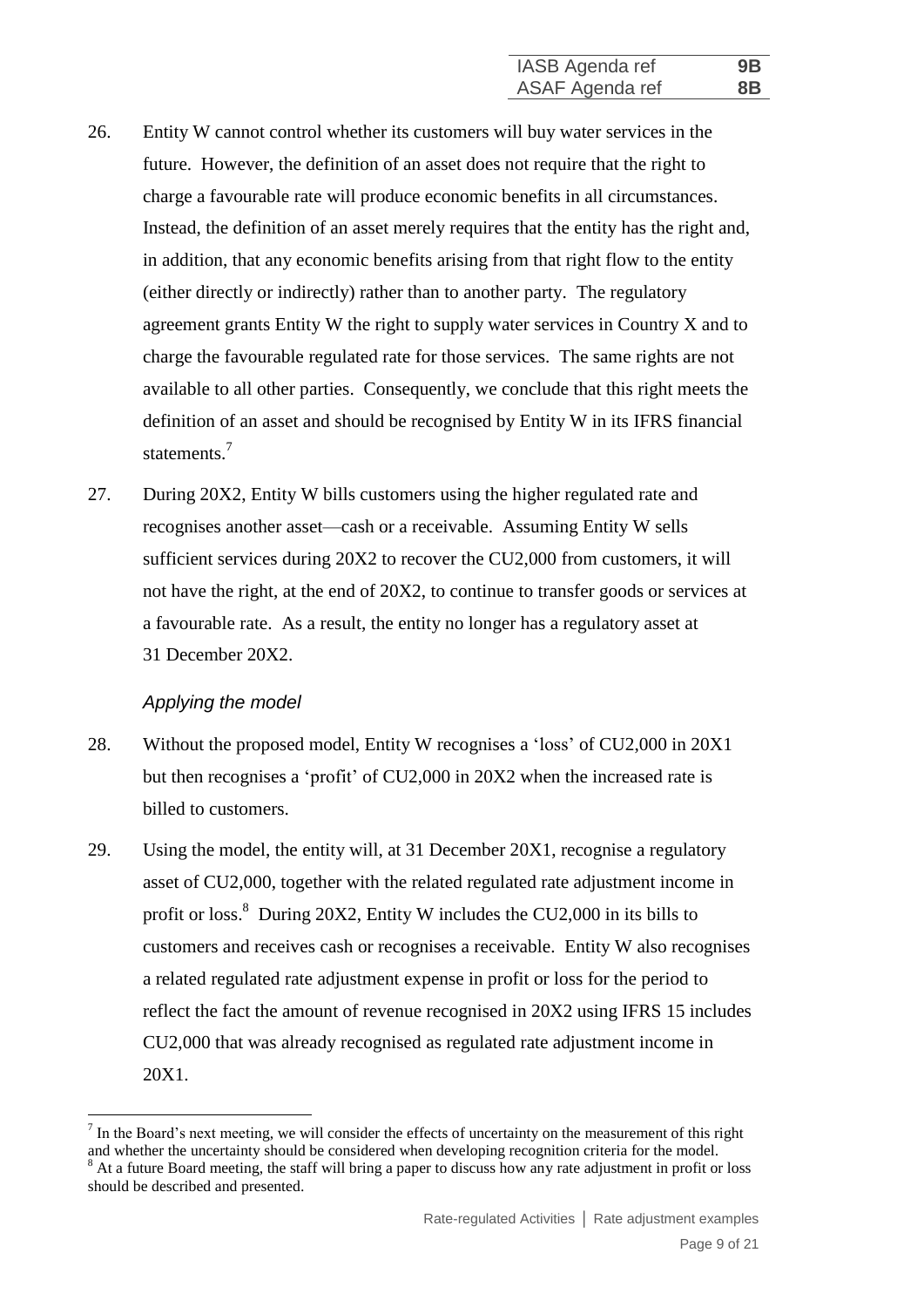- 26. Entity W cannot control whether its customers will buy water services in the future. However, the definition of an asset does not require that the right to charge a favourable rate will produce economic benefits in all circumstances. Instead, the definition of an asset merely requires that the entity has the right and, in addition, that any economic benefits arising from that right flow to the entity (either directly or indirectly) rather than to another party. The regulatory agreement grants Entity W the right to supply water services in Country X and to charge the favourable regulated rate for those services. The same rights are not available to all other parties. Consequently, we conclude that this right meets the definition of an asset and should be recognised by Entity W in its IFRS financial statements. 7
- 27. During 20X2, Entity W bills customers using the higher regulated rate and recognises another asset—cash or a receivable. Assuming Entity W sells sufficient services during 20X2 to recover the CU2,000 from customers, it will not have the right, at the end of 20X2, to continue to transfer goods or services at a favourable rate. As a result, the entity no longer has a regulatory asset at 31 December 20X2.

#### *Applying the model*

1

- 28. Without the proposed model, Entity W recognises a 'loss' of CU2,000 in 20X1 but then recognises a 'profit' of CU2,000 in 20X2 when the increased rate is billed to customers.
- 29. Using the model, the entity will, at 31 December 20X1, recognise a regulatory asset of CU2,000, together with the related regulated rate adjustment income in profit or loss.<sup>8</sup> During 20X2, Entity W includes the CU2,000 in its bills to customers and receives cash or recognises a receivable. Entity W also recognises a related regulated rate adjustment expense in profit or loss for the period to reflect the fact the amount of revenue recognised in 20X2 using IFRS 15 includes CU2,000 that was already recognised as regulated rate adjustment income in 20X1.

 $<sup>7</sup>$  In the Board's next meeting, we will consider the effects of uncertainty on the measurement of this right</sup> and whether the uncertainty should be considered when developing recognition criteria for the model.

<sup>&</sup>lt;sup>8</sup> At a future Board meeting, the staff will bring a paper to discuss how any rate adjustment in profit or loss should be described and presented.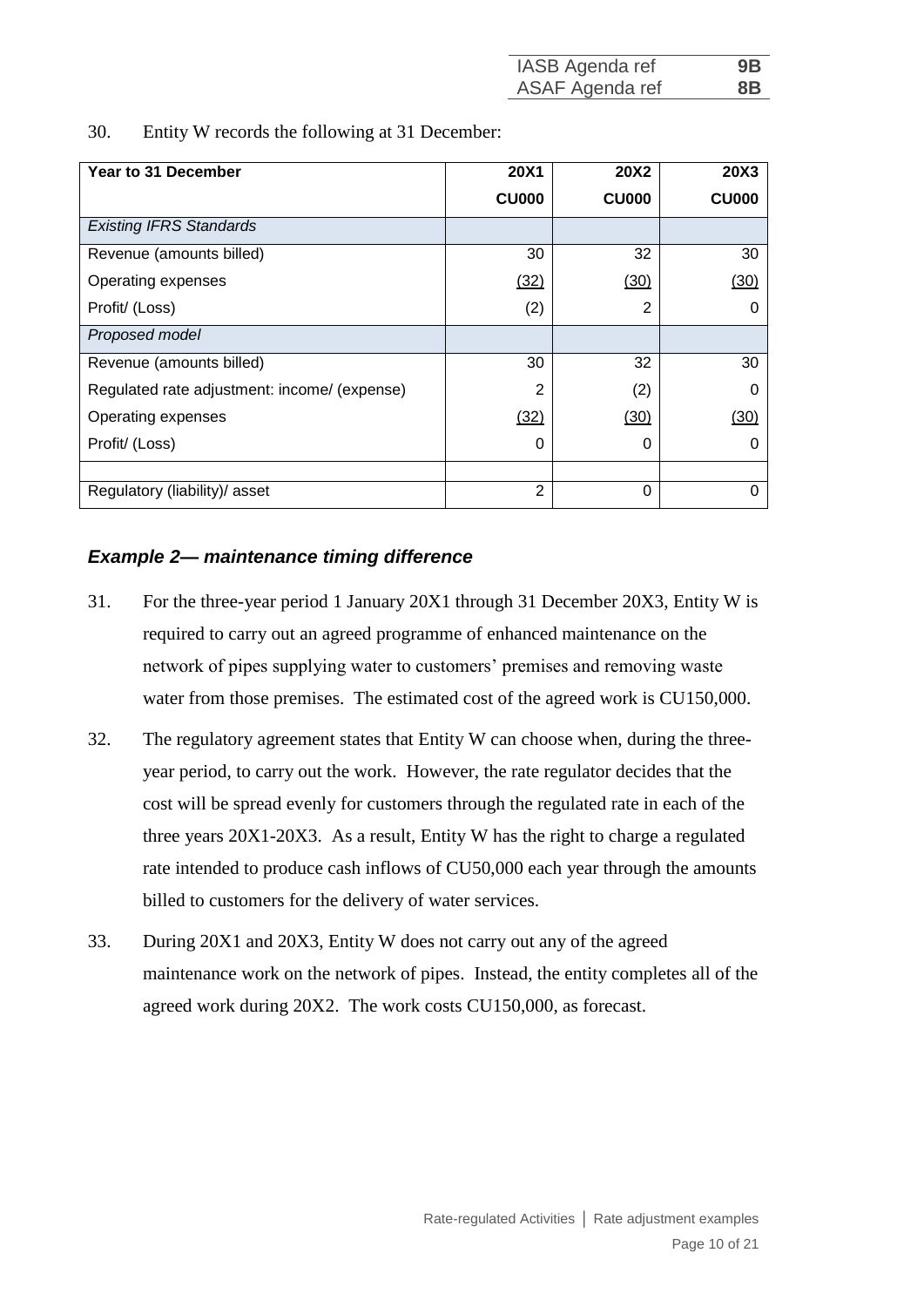| IASB Agenda ref | 9B |
|-----------------|----|
| ASAF Agenda ref | 8B |

30. Entity W records the following at 31 December:

| Year to 31 December                          | <b>20X1</b>       | <b>20X2</b>       | <b>20X3</b>  |
|----------------------------------------------|-------------------|-------------------|--------------|
|                                              | CU <sub>000</sub> | CU <sub>000</sub> | <b>CU000</b> |
| <b>Existing IFRS Standards</b>               |                   |                   |              |
| Revenue (amounts billed)                     | 30                | 32                | 30           |
| Operating expenses                           | (32)              | (30)              | (30)         |
| Profit/ (Loss)                               | (2)               | 2                 | O            |
| Proposed model                               |                   |                   |              |
| Revenue (amounts billed)                     | 30                | 32                | 30           |
| Regulated rate adjustment: income/ (expense) | 2                 | (2)               | O            |
| Operating expenses                           | (32)              | (30)              | (30)         |
| Profit/ (Loss)                               | 0                 | 0                 |              |
|                                              |                   |                   |              |
| Regulatory (liability)/ asset                | $\overline{2}$    | 0                 |              |

## *Example 2— maintenance timing difference*

- 31. For the three-year period 1 January 20X1 through 31 December 20X3, Entity W is required to carry out an agreed programme of enhanced maintenance on the network of pipes supplying water to customers' premises and removing waste water from those premises. The estimated cost of the agreed work is CU150,000.
- 32. The regulatory agreement states that Entity W can choose when, during the threeyear period, to carry out the work. However, the rate regulator decides that the cost will be spread evenly for customers through the regulated rate in each of the three years 20X1-20X3. As a result, Entity W has the right to charge a regulated rate intended to produce cash inflows of CU50,000 each year through the amounts billed to customers for the delivery of water services.
- 33. During 20X1 and 20X3, Entity W does not carry out any of the agreed maintenance work on the network of pipes. Instead, the entity completes all of the agreed work during 20X2. The work costs CU150,000, as forecast.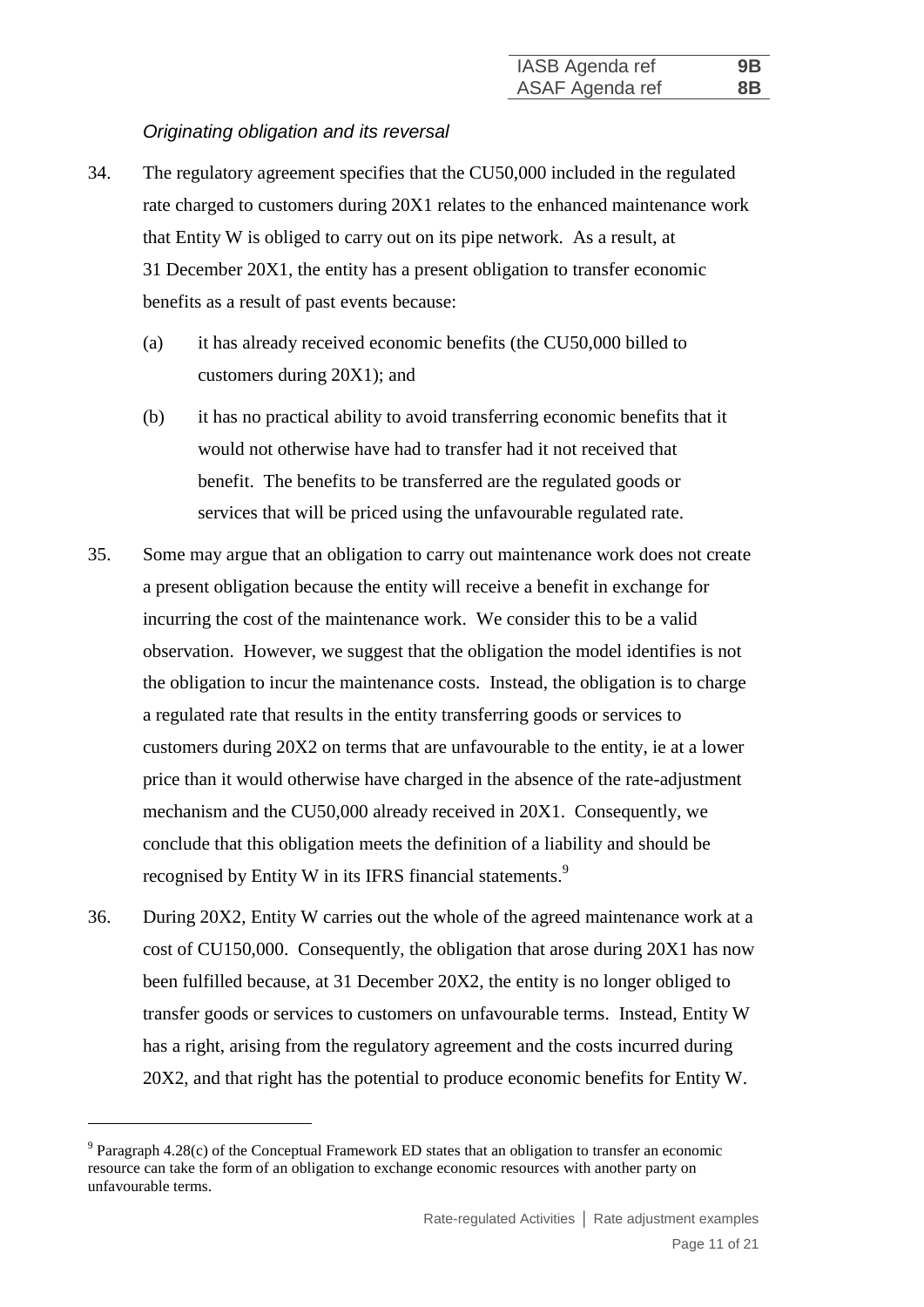## *Originating obligation and its reversal*

- 34. The regulatory agreement specifies that the CU50,000 included in the regulated rate charged to customers during 20X1 relates to the enhanced maintenance work that Entity W is obliged to carry out on its pipe network. As a result, at 31 December 20X1, the entity has a present obligation to transfer economic benefits as a result of past events because:
	- (a) it has already received economic benefits (the CU50,000 billed to customers during 20X1); and
	- (b) it has no practical ability to avoid transferring economic benefits that it would not otherwise have had to transfer had it not received that benefit. The benefits to be transferred are the regulated goods or services that will be priced using the unfavourable regulated rate.
- 35. Some may argue that an obligation to carry out maintenance work does not create a present obligation because the entity will receive a benefit in exchange for incurring the cost of the maintenance work. We consider this to be a valid observation. However, we suggest that the obligation the model identifies is not the obligation to incur the maintenance costs. Instead, the obligation is to charge a regulated rate that results in the entity transferring goods or services to customers during 20X2 on terms that are unfavourable to the entity, ie at a lower price than it would otherwise have charged in the absence of the rate-adjustment mechanism and the CU50,000 already received in 20X1. Consequently, we conclude that this obligation meets the definition of a liability and should be recognised by Entity W in its IFRS financial statements.<sup>9</sup>
- 36. During 20X2, Entity W carries out the whole of the agreed maintenance work at a cost of CU150,000. Consequently, the obligation that arose during 20X1 has now been fulfilled because, at 31 December 20X2, the entity is no longer obliged to transfer goods or services to customers on unfavourable terms. Instead, Entity W has a right, arising from the regulatory agreement and the costs incurred during 20X2, and that right has the potential to produce economic benefits for Entity W.

<u>.</u>

 $9$  Paragraph 4.28(c) of the Conceptual Framework ED states that an obligation to transfer an economic resource can take the form of an obligation to exchange economic resources with another party on unfavourable terms.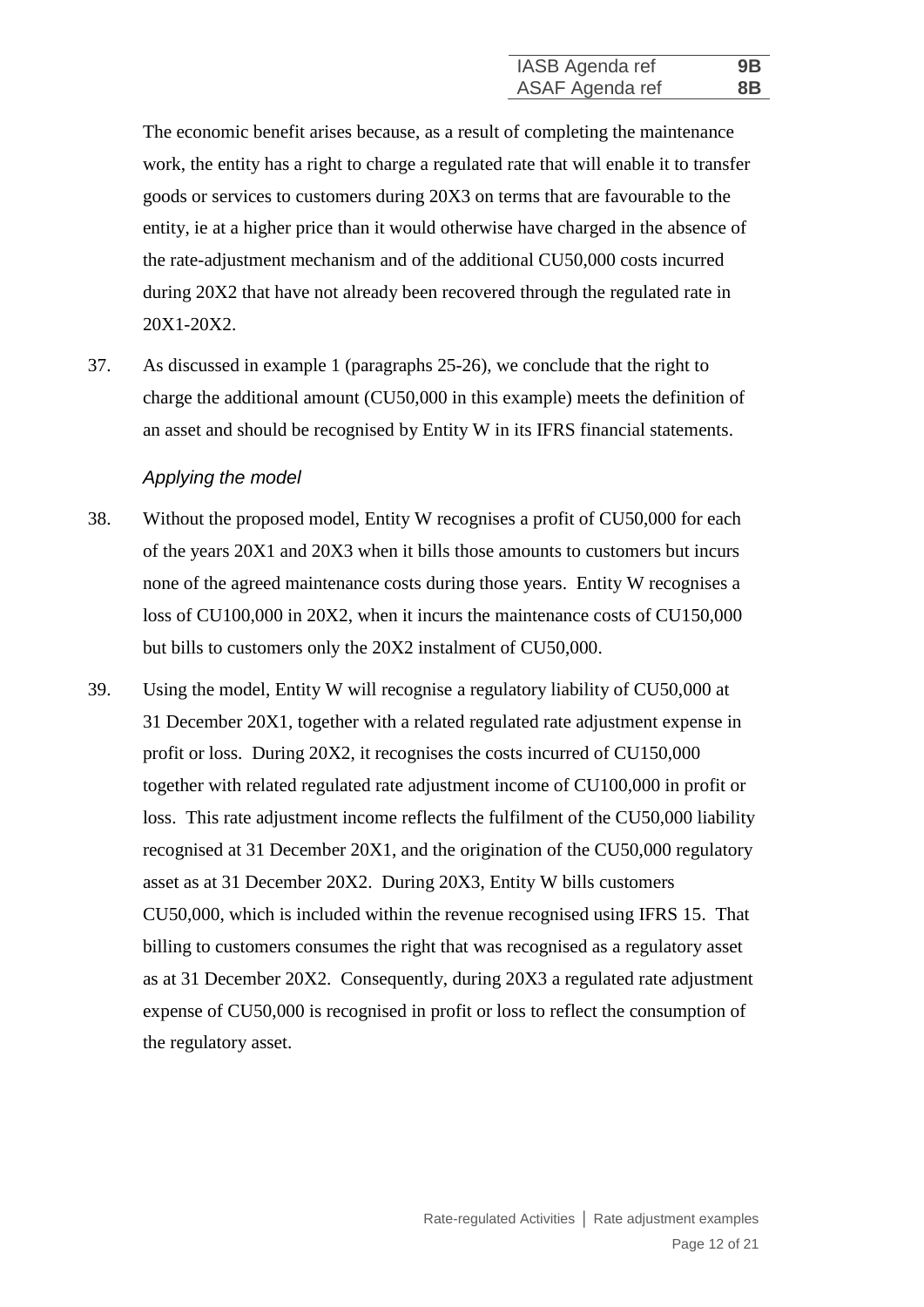The economic benefit arises because, as a result of completing the maintenance work, the entity has a right to charge a regulated rate that will enable it to transfer goods or services to customers during 20X3 on terms that are favourable to the entity, ie at a higher price than it would otherwise have charged in the absence of the rate-adjustment mechanism and of the additional CU50,000 costs incurred during 20X2 that have not already been recovered through the regulated rate in 20X1-20X2.

37. As discussed in example 1 (paragraphs 25-26), we conclude that the right to charge the additional amount (CU50,000 in this example) meets the definition of an asset and should be recognised by Entity W in its IFRS financial statements.

#### *Applying the model*

- 38. Without the proposed model, Entity W recognises a profit of CU50,000 for each of the years 20X1 and 20X3 when it bills those amounts to customers but incurs none of the agreed maintenance costs during those years. Entity W recognises a loss of CU100,000 in 20X2, when it incurs the maintenance costs of CU150,000 but bills to customers only the 20X2 instalment of CU50,000.
- 39. Using the model, Entity W will recognise a regulatory liability of CU50,000 at 31 December 20X1, together with a related regulated rate adjustment expense in profit or loss. During 20X2, it recognises the costs incurred of CU150,000 together with related regulated rate adjustment income of CU100,000 in profit or loss. This rate adjustment income reflects the fulfilment of the CU50,000 liability recognised at 31 December 20X1, and the origination of the CU50,000 regulatory asset as at 31 December 20X2. During 20X3, Entity W bills customers CU50,000, which is included within the revenue recognised using IFRS 15. That billing to customers consumes the right that was recognised as a regulatory asset as at 31 December 20X2. Consequently, during 20X3 a regulated rate adjustment expense of CU50,000 is recognised in profit or loss to reflect the consumption of the regulatory asset.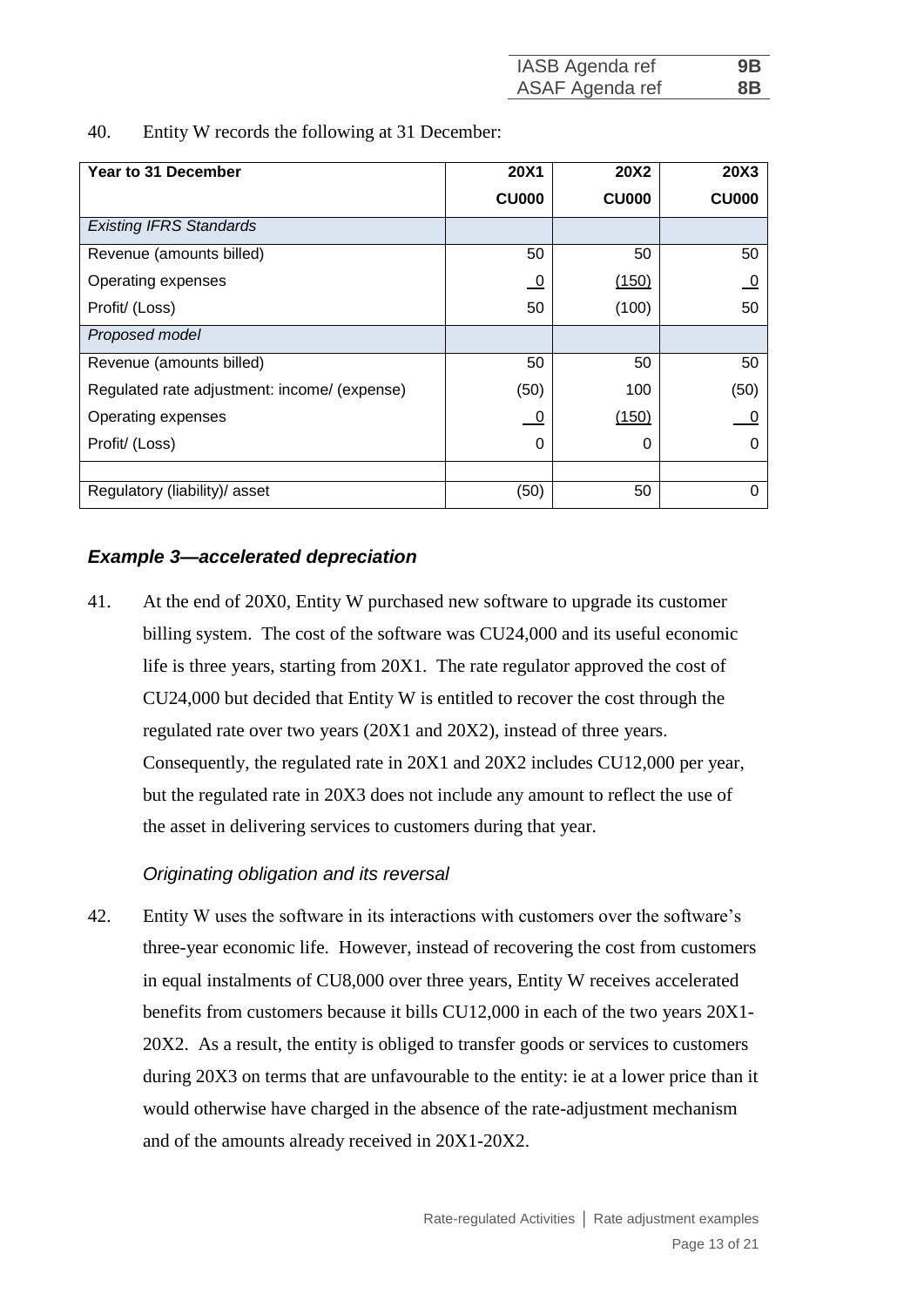| IASB Agenda ref | 9B             |
|-----------------|----------------|
| ASAF Agenda ref | 8 <sub>B</sub> |

40. Entity W records the following at 31 December:

| <b>Year to 31 December</b>                   | <b>20X1</b>    | <b>20X2</b>  | <b>20X3</b>  |
|----------------------------------------------|----------------|--------------|--------------|
|                                              | <b>CU000</b>   | <b>CU000</b> | <b>CU000</b> |
| <b>Existing IFRS Standards</b>               |                |              |              |
| Revenue (amounts billed)                     | 50             | 50           | 50           |
| Operating expenses                           | $\overline{0}$ | (150)        | $\theta$     |
| Profit/ (Loss)                               | 50             | (100)        | 50           |
| Proposed model                               |                |              |              |
| Revenue (amounts billed)                     | 50             | 50           | 50           |
| Regulated rate adjustment: income/ (expense) | (50)           | 100          | (50)         |
| Operating expenses                           | 0              | (150)        |              |
| Profit/ (Loss)                               | 0              | 0            |              |
|                                              |                |              |              |
| Regulatory (liability)/ asset                | (50)           | 50           | Ω            |

## *Example 3—accelerated depreciation*

41. At the end of 20X0, Entity W purchased new software to upgrade its customer billing system. The cost of the software was CU24,000 and its useful economic life is three years, starting from 20X1. The rate regulator approved the cost of CU24,000 but decided that Entity W is entitled to recover the cost through the regulated rate over two years (20X1 and 20X2), instead of three years. Consequently, the regulated rate in 20X1 and 20X2 includes CU12,000 per year, but the regulated rate in 20X3 does not include any amount to reflect the use of the asset in delivering services to customers during that year.

## *Originating obligation and its reversal*

42. Entity W uses the software in its interactions with customers over the software's three-year economic life. However, instead of recovering the cost from customers in equal instalments of CU8,000 over three years, Entity W receives accelerated benefits from customers because it bills CU12,000 in each of the two years 20X1- 20X2. As a result, the entity is obliged to transfer goods or services to customers during 20X3 on terms that are unfavourable to the entity: ie at a lower price than it would otherwise have charged in the absence of the rate-adjustment mechanism and of the amounts already received in 20X1-20X2.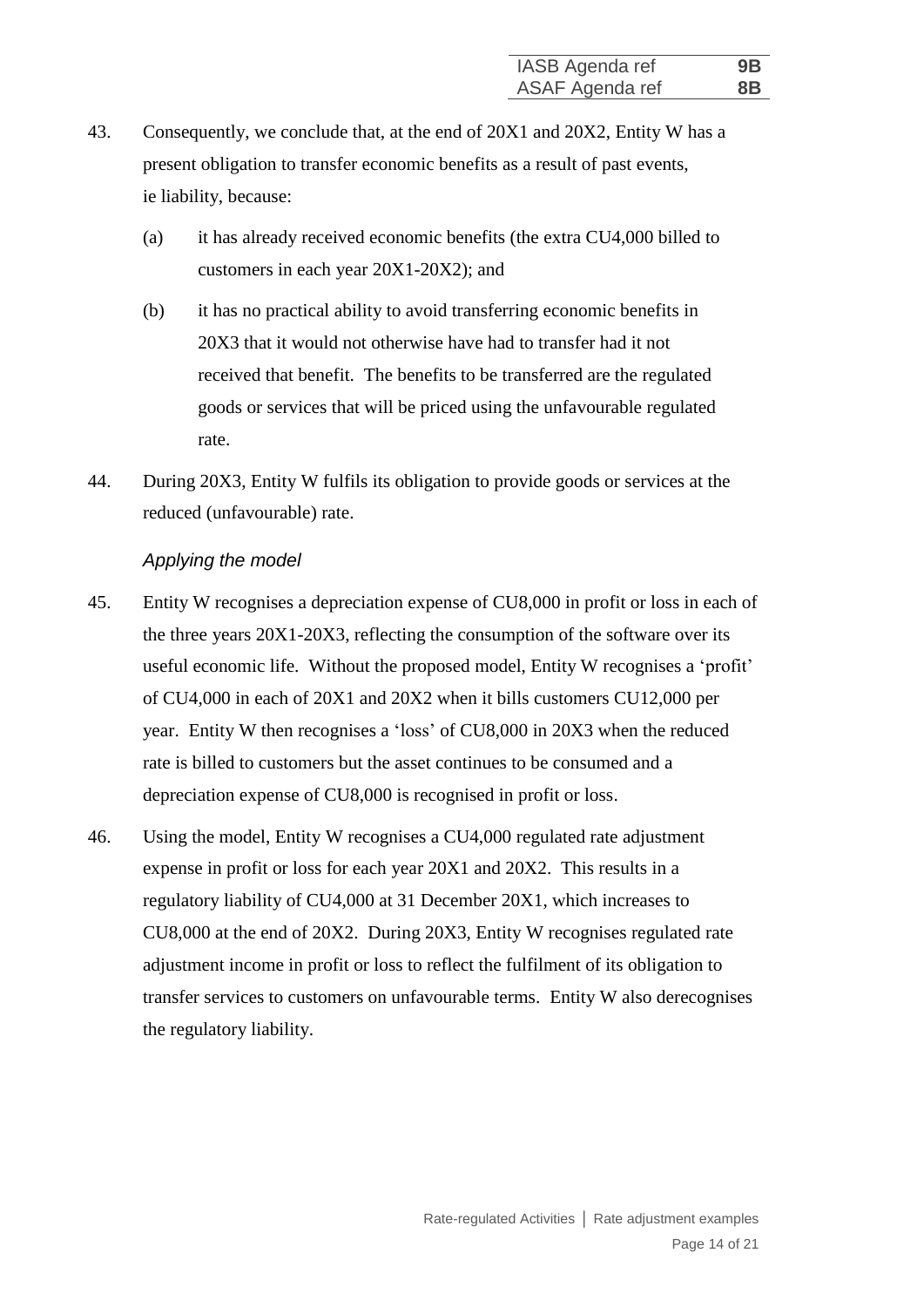- 43. Consequently, we conclude that, at the end of 20X1 and 20X2, Entity W has a present obligation to transfer economic benefits as a result of past events, ie liability, because:
	- (a) it has already received economic benefits (the extra CU4,000 billed to customers in each year 20X1-20X2); and
	- (b) it has no practical ability to avoid transferring economic benefits in 20X3 that it would not otherwise have had to transfer had it not received that benefit. The benefits to be transferred are the regulated goods or services that will be priced using the unfavourable regulated rate.
- 44. During 20X3, Entity W fulfils its obligation to provide goods or services at the reduced (unfavourable) rate.

#### *Applying the model*

- 45. Entity W recognises a depreciation expense of CU8,000 in profit or loss in each of the three years 20X1-20X3, reflecting the consumption of the software over its useful economic life. Without the proposed model, Entity W recognises a 'profit' of CU4,000 in each of 20X1 and 20X2 when it bills customers CU12,000 per year. Entity W then recognises a 'loss' of CU8,000 in 20X3 when the reduced rate is billed to customers but the asset continues to be consumed and a depreciation expense of CU8,000 is recognised in profit or loss.
- 46. Using the model, Entity W recognises a CU4,000 regulated rate adjustment expense in profit or loss for each year 20X1 and 20X2. This results in a regulatory liability of CU4,000 at 31 December 20X1, which increases to CU8,000 at the end of 20X2. During 20X3, Entity W recognises regulated rate adjustment income in profit or loss to reflect the fulfilment of its obligation to transfer services to customers on unfavourable terms. Entity W also derecognises the regulatory liability.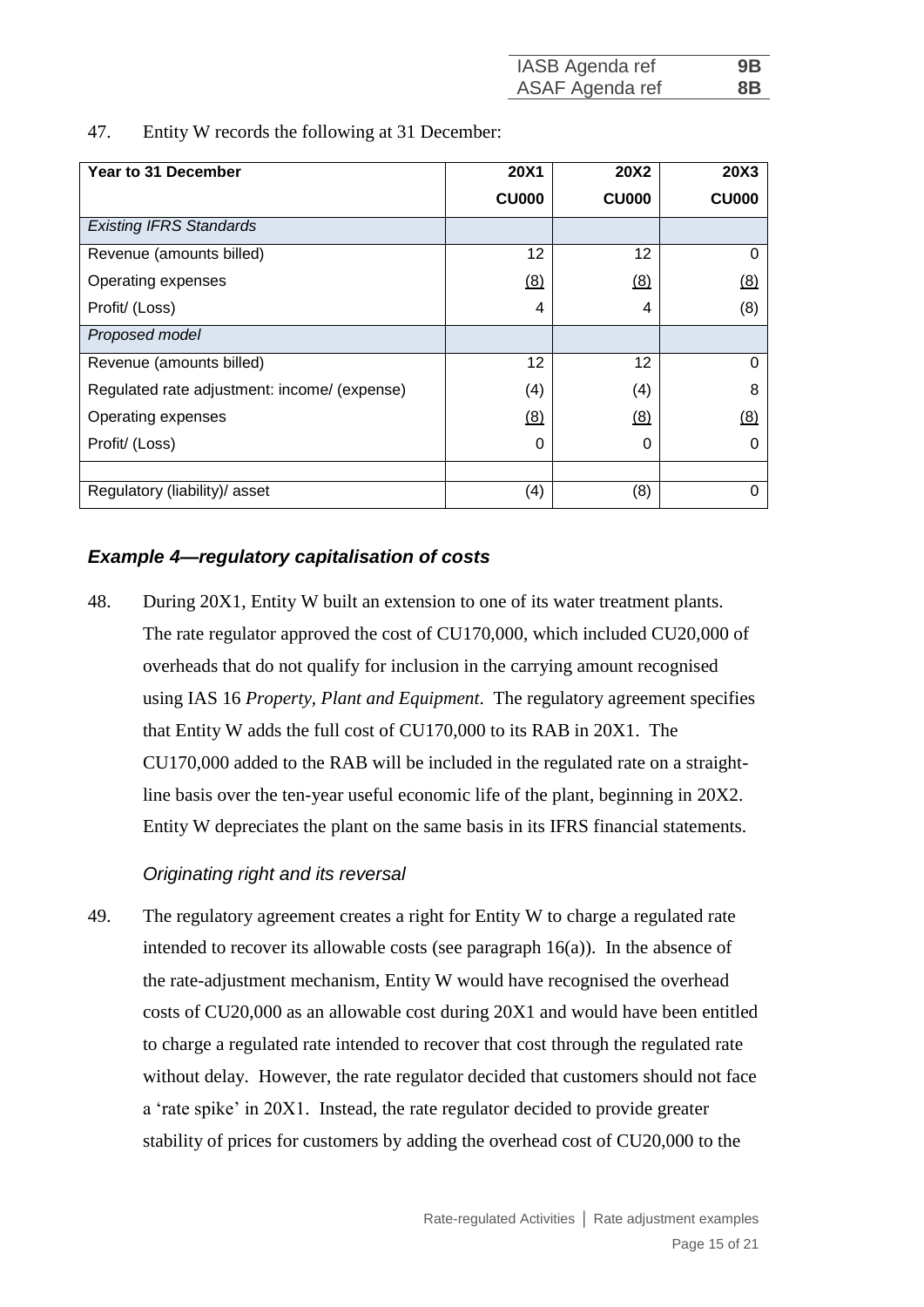| IASB Agenda ref | 9B             |
|-----------------|----------------|
| ASAF Agenda ref | 8 <sub>B</sub> |

47. Entity W records the following at 31 December:

| Year to 31 December                          | <b>20X1</b>  | <b>20X2</b>  | <b>20X3</b>  |
|----------------------------------------------|--------------|--------------|--------------|
|                                              | <b>CU000</b> | <b>CU000</b> | <b>CU000</b> |
| <b>Existing IFRS Standards</b>               |              |              |              |
| Revenue (amounts billed)                     | 12           | 12           | 0            |
| Operating expenses                           | (8)          | (8)          | (8)          |
| Profit/ (Loss)                               | 4            | 4            | (8)          |
| Proposed model                               |              |              |              |
| Revenue (amounts billed)                     | 12           | 12           | 0            |
| Regulated rate adjustment: income/ (expense) | (4)          | (4)          | 8            |
| Operating expenses                           | (8)          | (8)          | (8)          |
| Profit/ (Loss)                               | 0            | 0            |              |
|                                              |              |              |              |
| Regulatory (liability)/ asset                | (4)          | (8)          |              |

## *Example 4—regulatory capitalisation of costs*

48. During 20X1, Entity W built an extension to one of its water treatment plants. The rate regulator approved the cost of CU170,000, which included CU20,000 of overheads that do not qualify for inclusion in the carrying amount recognised using IAS 16 *Property, Plant and Equipment*. The regulatory agreement specifies that Entity W adds the full cost of CU170,000 to its RAB in 20X1. The CU170,000 added to the RAB will be included in the regulated rate on a straightline basis over the ten-year useful economic life of the plant, beginning in 20X2. Entity W depreciates the plant on the same basis in its IFRS financial statements.

## *Originating right and its reversal*

49. The regulatory agreement creates a right for Entity W to charge a regulated rate intended to recover its allowable costs (see paragraph  $16(a)$ ). In the absence of the rate-adjustment mechanism, Entity W would have recognised the overhead costs of CU20,000 as an allowable cost during 20X1 and would have been entitled to charge a regulated rate intended to recover that cost through the regulated rate without delay. However, the rate regulator decided that customers should not face a 'rate spike' in 20X1. Instead, the rate regulator decided to provide greater stability of prices for customers by adding the overhead cost of CU20,000 to the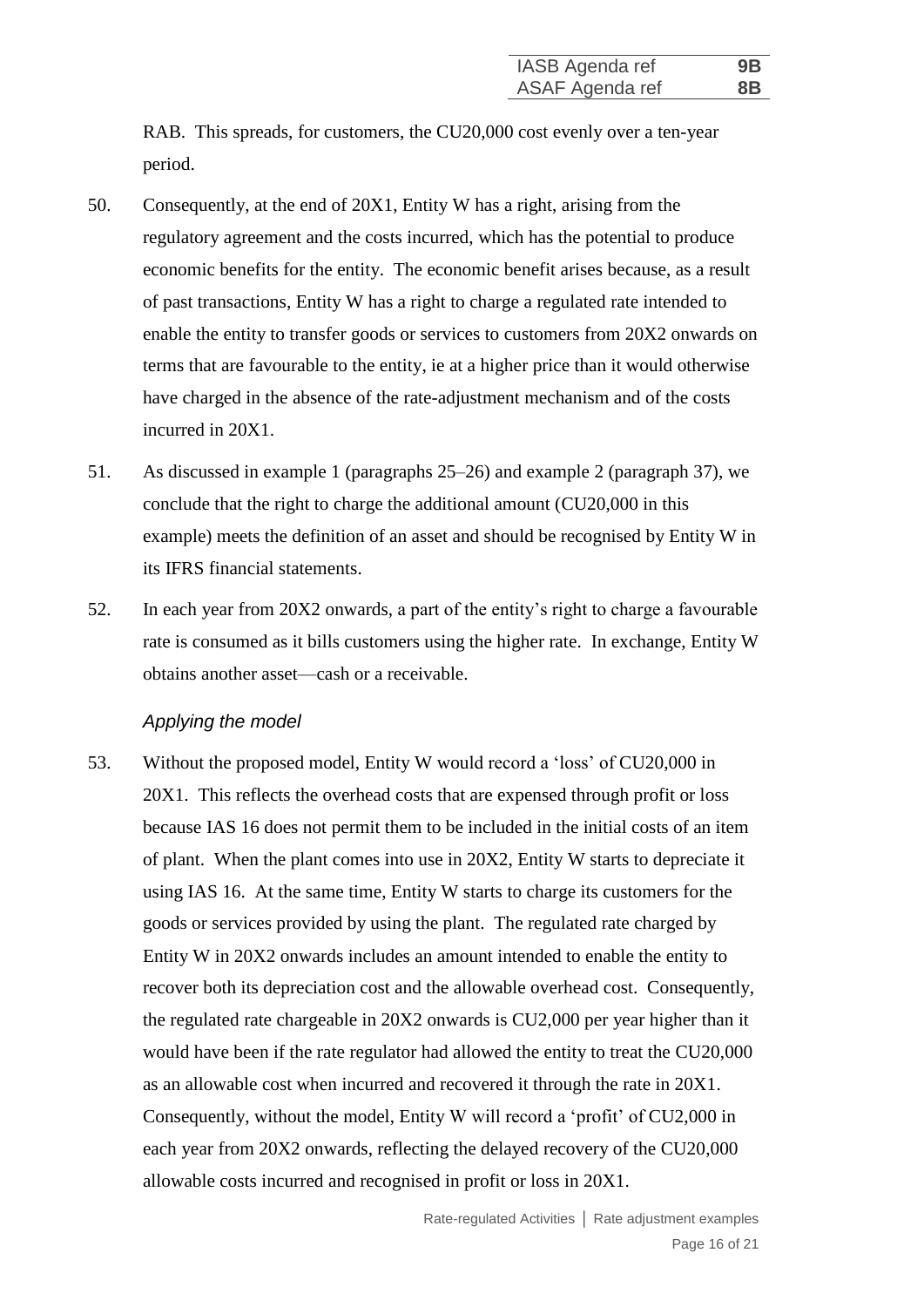RAB. This spreads, for customers, the CU20,000 cost evenly over a ten-year period.

- 50. Consequently, at the end of 20X1, Entity W has a right, arising from the regulatory agreement and the costs incurred, which has the potential to produce economic benefits for the entity. The economic benefit arises because, as a result of past transactions, Entity W has a right to charge a regulated rate intended to enable the entity to transfer goods or services to customers from 20X2 onwards on terms that are favourable to the entity, ie at a higher price than it would otherwise have charged in the absence of the rate-adjustment mechanism and of the costs incurred in 20X1.
- 51. As discussed in example 1 (paragraphs 25–26) and example 2 (paragraph 37), we conclude that the right to charge the additional amount (CU20,000 in this example) meets the definition of an asset and should be recognised by Entity W in its IFRS financial statements.
- 52. In each year from 20X2 onwards, a part of the entity's right to charge a favourable rate is consumed as it bills customers using the higher rate. In exchange, Entity W obtains another asset—cash or a receivable.

#### *Applying the model*

53. Without the proposed model, Entity W would record a 'loss' of CU20,000 in 20X1. This reflects the overhead costs that are expensed through profit or loss because IAS 16 does not permit them to be included in the initial costs of an item of plant. When the plant comes into use in 20X2, Entity W starts to depreciate it using IAS 16. At the same time, Entity W starts to charge its customers for the goods or services provided by using the plant. The regulated rate charged by Entity W in 20X2 onwards includes an amount intended to enable the entity to recover both its depreciation cost and the allowable overhead cost. Consequently, the regulated rate chargeable in 20X2 onwards is CU2,000 per year higher than it would have been if the rate regulator had allowed the entity to treat the CU20,000 as an allowable cost when incurred and recovered it through the rate in 20X1. Consequently, without the model, Entity W will record a 'profit' of CU2,000 in each year from 20X2 onwards, reflecting the delayed recovery of the CU20,000 allowable costs incurred and recognised in profit or loss in 20X1.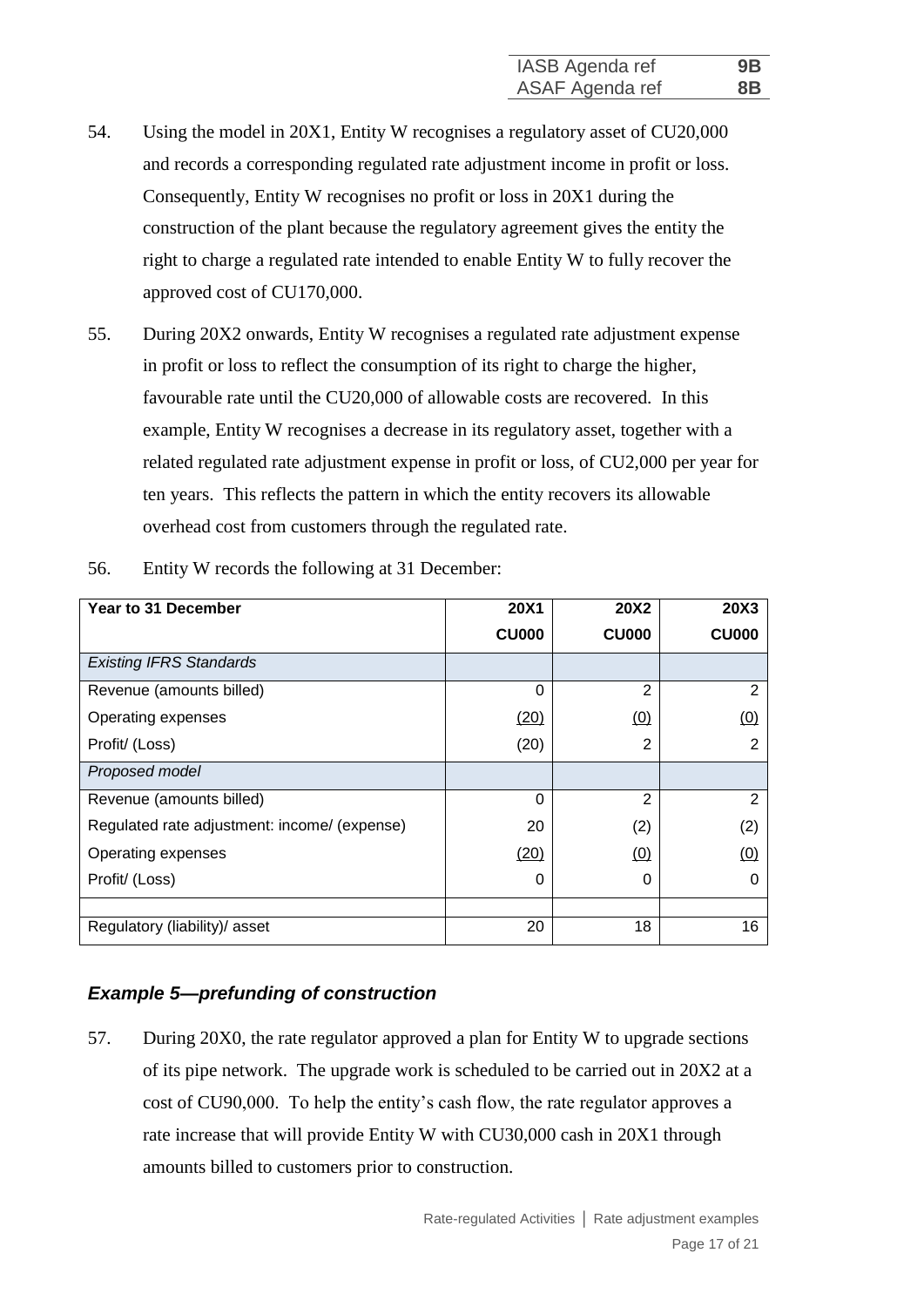- 54. Using the model in 20X1, Entity W recognises a regulatory asset of CU20,000 and records a corresponding regulated rate adjustment income in profit or loss. Consequently, Entity W recognises no profit or loss in 20X1 during the construction of the plant because the regulatory agreement gives the entity the right to charge a regulated rate intended to enable Entity W to fully recover the approved cost of CU170,000.
- 55. During 20X2 onwards, Entity W recognises a regulated rate adjustment expense in profit or loss to reflect the consumption of its right to charge the higher, favourable rate until the CU20,000 of allowable costs are recovered. In this example, Entity W recognises a decrease in its regulatory asset, together with a related regulated rate adjustment expense in profit or loss, of CU2,000 per year for ten years. This reflects the pattern in which the entity recovers its allowable overhead cost from customers through the regulated rate.

| Year to 31 December                          | <b>20X1</b>  | <b>20X2</b>    | <b>20X3</b>    |
|----------------------------------------------|--------------|----------------|----------------|
|                                              | <b>CU000</b> | <b>CU000</b>   | <b>CU000</b>   |
| <b>Existing IFRS Standards</b>               |              |                |                |
| Revenue (amounts billed)                     | $\Omega$     | $\overline{2}$ | 2              |
| Operating expenses                           | (20)         | (0)            | (0)            |
| Profit/ (Loss)                               | (20)         | $\overline{2}$ | 2              |
| Proposed model                               |              |                |                |
| Revenue (amounts billed)                     | 0            | $\overline{2}$ | $\overline{2}$ |
| Regulated rate adjustment: income/ (expense) | 20           | (2)            | (2)            |
| Operating expenses                           | (20)         | (0)            | (0)            |
| Profit/ (Loss)                               | 0            | 0              |                |
|                                              |              |                |                |
| Regulatory (liability)/ asset                | 20           | 18             | 16             |

56. Entity W records the following at 31 December:

## *Example 5—prefunding of construction*

57. During 20X0, the rate regulator approved a plan for Entity W to upgrade sections of its pipe network. The upgrade work is scheduled to be carried out in 20X2 at a cost of CU90,000. To help the entity's cash flow, the rate regulator approves a rate increase that will provide Entity W with CU30,000 cash in 20X1 through amounts billed to customers prior to construction.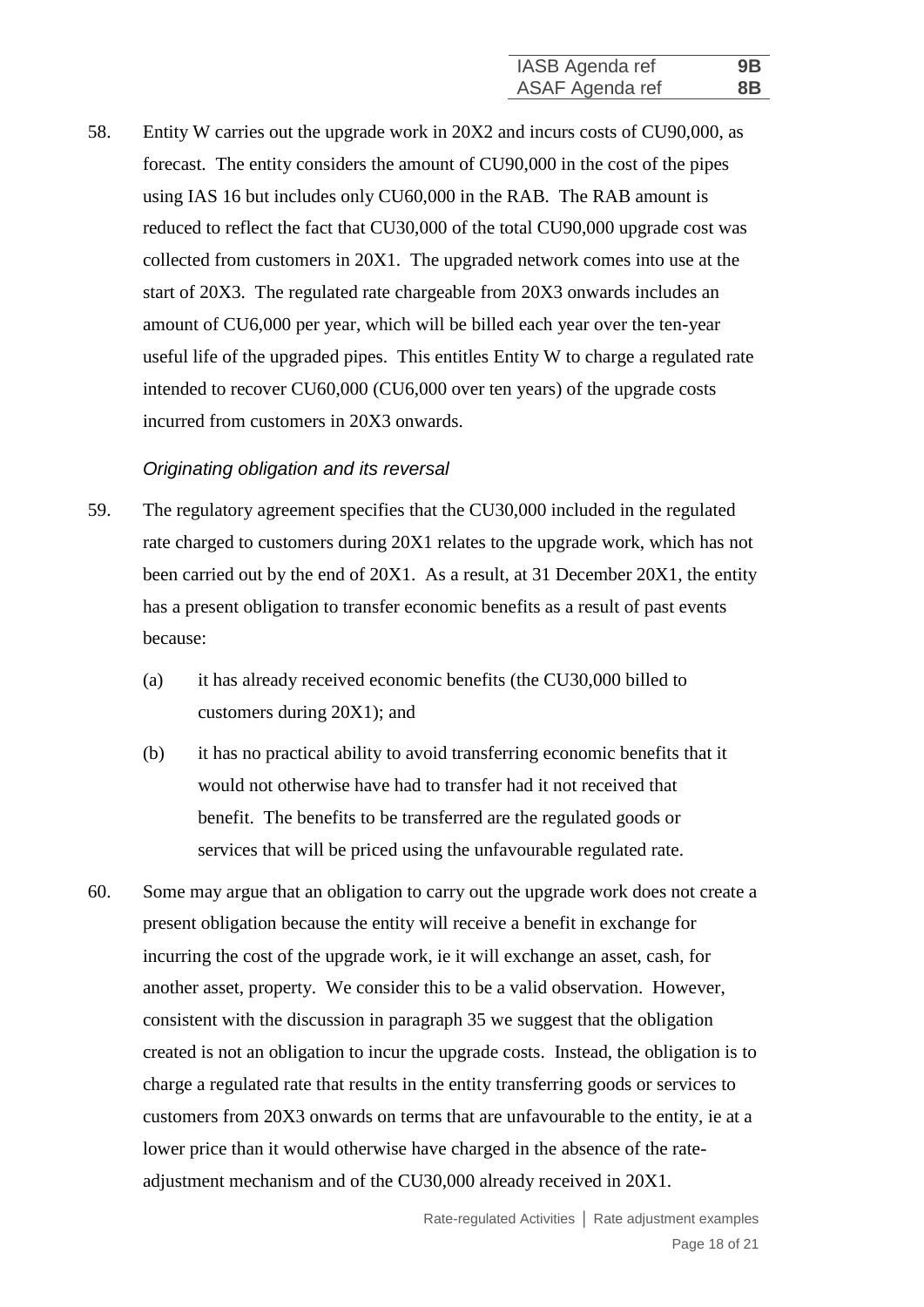58. Entity W carries out the upgrade work in 20X2 and incurs costs of CU90,000, as forecast. The entity considers the amount of CU90,000 in the cost of the pipes using IAS 16 but includes only CU60,000 in the RAB. The RAB amount is reduced to reflect the fact that CU30,000 of the total CU90,000 upgrade cost was collected from customers in 20X1. The upgraded network comes into use at the start of 20X3. The regulated rate chargeable from 20X3 onwards includes an amount of CU6,000 per year, which will be billed each year over the ten-year useful life of the upgraded pipes. This entitles Entity W to charge a regulated rate intended to recover CU60,000 (CU6,000 over ten years) of the upgrade costs incurred from customers in 20X3 onwards.

#### *Originating obligation and its reversal*

- 59. The regulatory agreement specifies that the CU30,000 included in the regulated rate charged to customers during 20X1 relates to the upgrade work, which has not been carried out by the end of 20X1. As a result, at 31 December 20X1, the entity has a present obligation to transfer economic benefits as a result of past events because:
	- (a) it has already received economic benefits (the CU30,000 billed to customers during 20X1); and
	- (b) it has no practical ability to avoid transferring economic benefits that it would not otherwise have had to transfer had it not received that benefit. The benefits to be transferred are the regulated goods or services that will be priced using the unfavourable regulated rate.
- 60. Some may argue that an obligation to carry out the upgrade work does not create a present obligation because the entity will receive a benefit in exchange for incurring the cost of the upgrade work, ie it will exchange an asset, cash, for another asset, property. We consider this to be a valid observation. However, consistent with the discussion in paragraph 35 we suggest that the obligation created is not an obligation to incur the upgrade costs. Instead, the obligation is to charge a regulated rate that results in the entity transferring goods or services to customers from 20X3 onwards on terms that are unfavourable to the entity, ie at a lower price than it would otherwise have charged in the absence of the rateadjustment mechanism and of the CU30,000 already received in 20X1.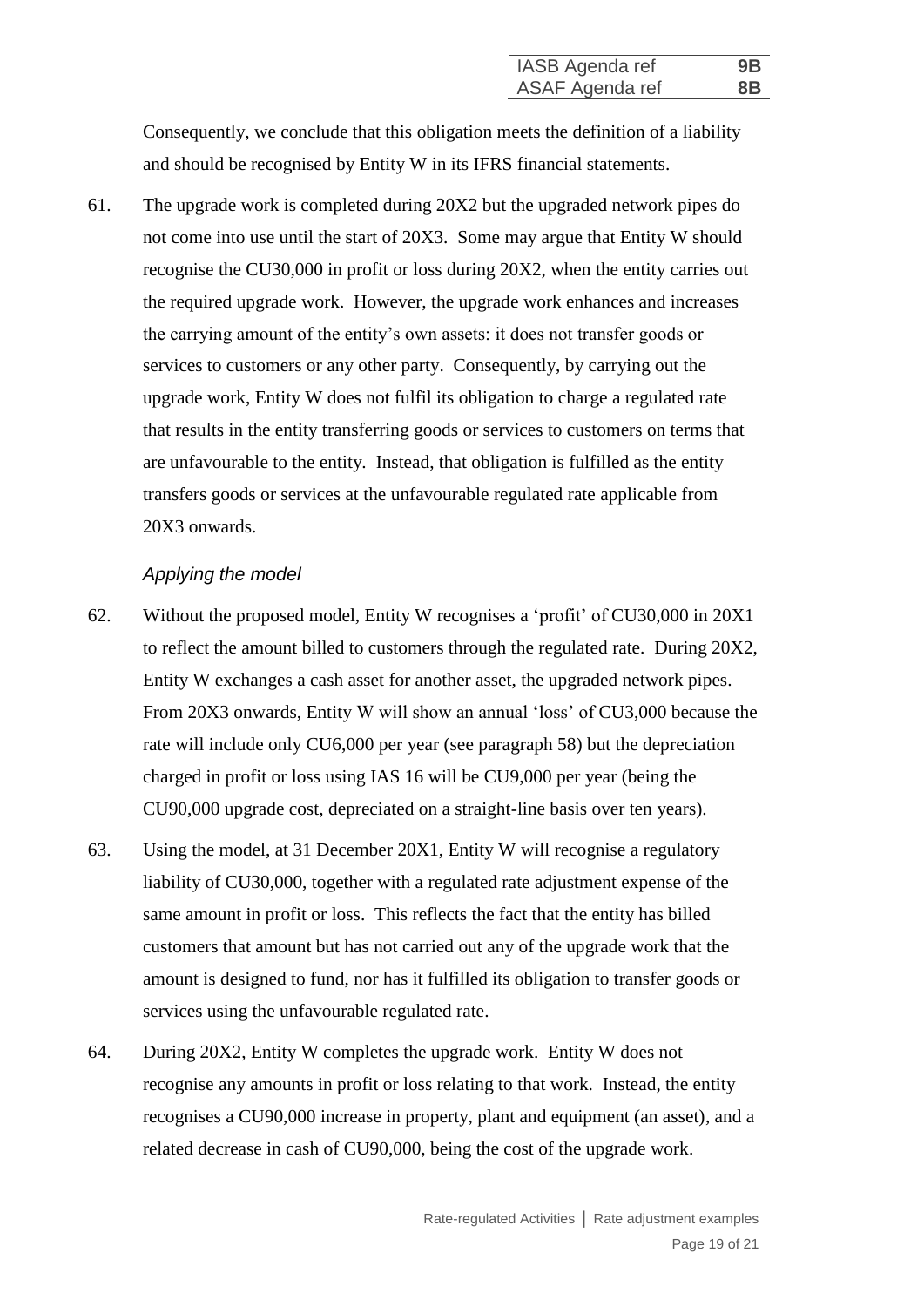Consequently, we conclude that this obligation meets the definition of a liability and should be recognised by Entity W in its IFRS financial statements.

61. The upgrade work is completed during 20X2 but the upgraded network pipes do not come into use until the start of 20X3. Some may argue that Entity W should recognise the CU30,000 in profit or loss during 20X2, when the entity carries out the required upgrade work. However, the upgrade work enhances and increases the carrying amount of the entity's own assets: it does not transfer goods or services to customers or any other party. Consequently, by carrying out the upgrade work, Entity W does not fulfil its obligation to charge a regulated rate that results in the entity transferring goods or services to customers on terms that are unfavourable to the entity. Instead, that obligation is fulfilled as the entity transfers goods or services at the unfavourable regulated rate applicable from 20X3 onwards.

#### *Applying the model*

- 62. Without the proposed model, Entity W recognises a 'profit' of CU30,000 in 20X1 to reflect the amount billed to customers through the regulated rate. During 20X2, Entity W exchanges a cash asset for another asset, the upgraded network pipes. From 20X3 onwards, Entity W will show an annual 'loss' of CU3,000 because the rate will include only CU6,000 per year (see paragraph 58) but the depreciation charged in profit or loss using IAS 16 will be CU9,000 per year (being the CU90,000 upgrade cost, depreciated on a straight-line basis over ten years).
- 63. Using the model, at 31 December 20X1, Entity W will recognise a regulatory liability of CU30,000, together with a regulated rate adjustment expense of the same amount in profit or loss. This reflects the fact that the entity has billed customers that amount but has not carried out any of the upgrade work that the amount is designed to fund, nor has it fulfilled its obligation to transfer goods or services using the unfavourable regulated rate.
- 64. During 20X2, Entity W completes the upgrade work. Entity W does not recognise any amounts in profit or loss relating to that work. Instead, the entity recognises a CU90,000 increase in property, plant and equipment (an asset), and a related decrease in cash of CU90,000, being the cost of the upgrade work.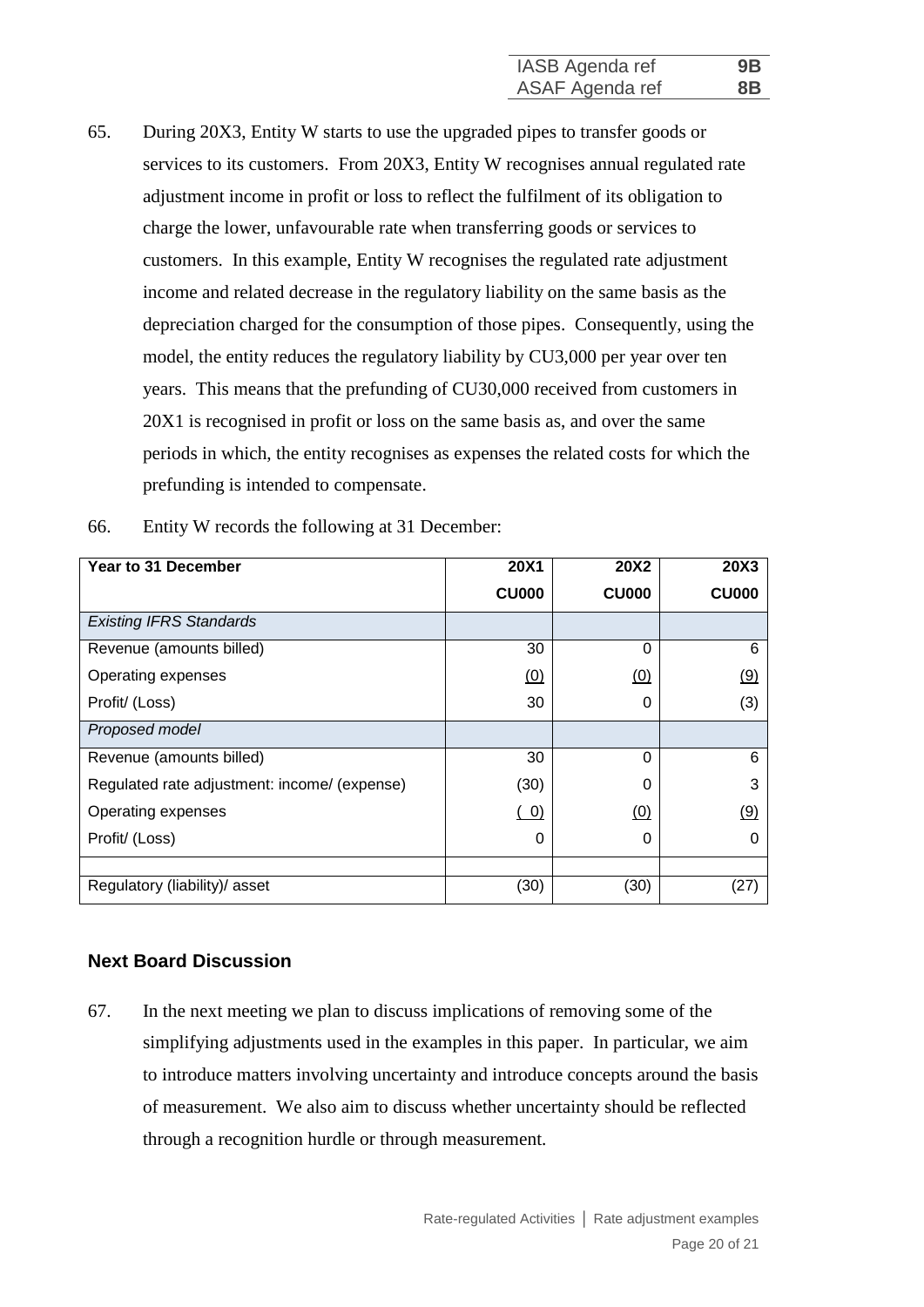65. During 20X3, Entity W starts to use the upgraded pipes to transfer goods or services to its customers. From 20X3, Entity W recognises annual regulated rate adjustment income in profit or loss to reflect the fulfilment of its obligation to charge the lower, unfavourable rate when transferring goods or services to customers. In this example, Entity W recognises the regulated rate adjustment income and related decrease in the regulatory liability on the same basis as the depreciation charged for the consumption of those pipes. Consequently, using the model, the entity reduces the regulatory liability by CU3,000 per year over ten years. This means that the prefunding of CU30,000 received from customers in 20X1 is recognised in profit or loss on the same basis as, and over the same periods in which, the entity recognises as expenses the related costs for which the prefunding is intended to compensate.

| Year to 31 December                          | 20X1         | <b>20X2</b>  | <b>20X3</b>  |
|----------------------------------------------|--------------|--------------|--------------|
|                                              | <b>CU000</b> | <b>CU000</b> | <b>CU000</b> |
| <b>Existing IFRS Standards</b>               |              |              |              |
| Revenue (amounts billed)                     | 30           | 0            | 6            |
| Operating expenses                           | (0)          | (0)          | (9)          |
| Profit/ (Loss)                               | 30           | 0            | (3)          |
| Proposed model                               |              |              |              |
| Revenue (amounts billed)                     | 30           | 0            | 6            |
| Regulated rate adjustment: income/ (expense) | (30)         | 0            | 3            |
| Operating expenses                           | (0)          | (0)          | <u>(9)</u>   |
| Profit/ (Loss)                               | 0            | 0            |              |
|                                              |              |              |              |
| Regulatory (liability)/ asset                | (30)         | (30)         | (27)         |

66. Entity W records the following at 31 December:

#### **Next Board Discussion**

67. In the next meeting we plan to discuss implications of removing some of the simplifying adjustments used in the examples in this paper. In particular, we aim to introduce matters involving uncertainty and introduce concepts around the basis of measurement. We also aim to discuss whether uncertainty should be reflected through a recognition hurdle or through measurement.